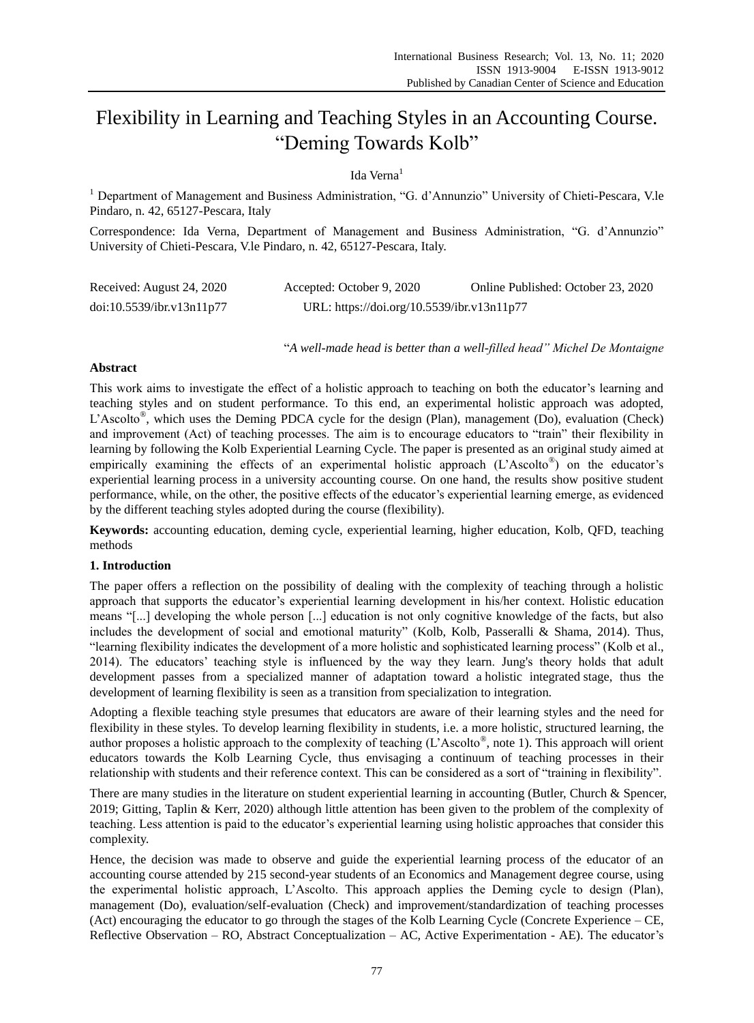# Flexibility in Learning and Teaching Styles in an Accounting Course. "Deming Towards Kolb"

## Ida Verna<sup>1</sup>

 $<sup>1</sup>$  Department of Management and Business Administration, "G. d'Annunzio" University of Chieti-Pescara, V.le</sup> Pindaro, n. 42, 65127-Pescara, Italy

Correspondence: Ida Verna, Department of Management and Business Administration, "G. d'Annunzio" University of Chieti-Pescara, V.le Pindaro, n. 42, 65127-Pescara, Italy.

| Received: August 24, 2020 | Accepted: October 9, 2020                  | Online Published: October 23, 2020 |
|---------------------------|--------------------------------------------|------------------------------------|
| doi:10.5539/ibr.v13n11p77 | URL: https://doi.org/10.5539/ibr.v13n11p77 |                                    |

―*A well-made head is better than a well-filled head" Michel De Montaigne*

## **Abstract**

This work aims to investigate the effect of a holistic approach to teaching on both the educator's learning and teaching styles and on student performance. To this end, an experimental holistic approach was adopted, L'Ascolto<sup>®</sup>, which uses the Deming PDCA cycle for the design (Plan), management (Do), evaluation (Check) and improvement (Act) of teaching processes. The aim is to encourage educators to "train" their flexibility in learning by following the Kolb Experiential Learning Cycle. The paper is presented as an original study aimed at empirically examining the effects of an experimental holistic approach (L'Ascolto® ) on the educator's experiential learning process in a university accounting course. On one hand, the results show positive student performance, while, on the other, the positive effects of the educator's experiential learning emerge, as evidenced by the different teaching styles adopted during the course (flexibility).

**Keywords:** accounting education, deming cycle, experiential learning, higher education, Kolb, QFD, teaching methods

## **1. Introduction**

The paper offers a reflection on the possibility of dealing with the complexity of teaching through a holistic approach that supports the educator's experiential learning development in his/her context. Holistic education means "[...] developing the whole person [...] education is not only cognitive knowledge of the facts, but also includes the development of social and emotional maturity" (Kolb, Kolb, Passeralli & Shama, 2014). Thus, ―learning flexibility indicates the development of a more holistic and sophisticated learning process‖ (Kolb et al., 2014). The educators' teaching style is influenced by the way they learn. Jung's theory holds that adult development passes from a specialized manner of adaptation toward a holistic integrated stage, thus the development of learning flexibility is seen as a transition from specialization to integration.

Adopting a flexible teaching style presumes that educators are aware of their learning styles and the need for flexibility in these styles. To develop learning flexibility in students, i.e. a more holistic, structured learning, the author proposes a holistic approach to the complexity of teaching (L'Ascolto®, note 1). This approach will orient educators towards the Kolb Learning Cycle, thus envisaging a continuum of teaching processes in their relationship with students and their reference context. This can be considered as a sort of "training in flexibility".

There are many studies in the literature on student experiential learning in accounting (Butler, Church & Spencer, 2019; Gitting, Taplin & Kerr, 2020) although little attention has been given to the problem of the complexity of teaching. Less attention is paid to the educator's experiential learning using holistic approaches that consider this complexity.

Hence, the decision was made to observe and guide the experiential learning process of the educator of an accounting course attended by 215 second-year students of an Economics and Management degree course, using the experimental holistic approach, L'Ascolto. This approach applies the Deming cycle to design (Plan), management (Do), evaluation/self-evaluation (Check) and improvement/standardization of teaching processes (Act) encouraging the educator to go through the stages of the Kolb Learning Cycle (Concrete Experience – CE, Reflective Observation – RO, Abstract Conceptualization – AC, Active Experimentation - AE). The educator's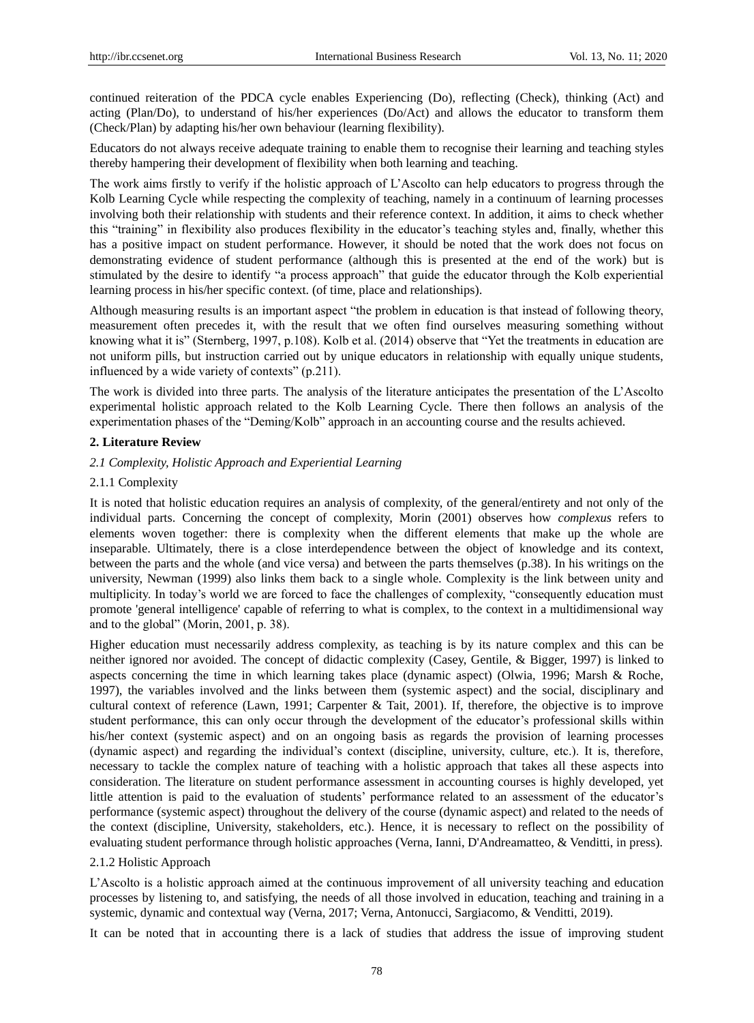continued reiteration of the PDCA cycle enables Experiencing (Do), reflecting (Check), thinking (Act) and acting (Plan/Do), to understand of his/her experiences (Do/Act) and allows the educator to transform them (Check/Plan) by adapting his/her own behaviour (learning flexibility).

Educators do not always receive adequate training to enable them to recognise their learning and teaching styles thereby hampering their development of flexibility when both learning and teaching.

The work aims firstly to verify if the holistic approach of L'Ascolto can help educators to progress through the Kolb Learning Cycle while respecting the complexity of teaching, namely in a continuum of learning processes involving both their relationship with students and their reference context. In addition, it aims to check whether this "training" in flexibility also produces flexibility in the educator's teaching styles and, finally, whether this has a positive impact on student performance. However, it should be noted that the work does not focus on demonstrating evidence of student performance (although this is presented at the end of the work) but is stimulated by the desire to identify "a process approach" that guide the educator through the Kolb experiential learning process in his/her specific context. (of time, place and relationships).

Although measuring results is an important aspect "the problem in education is that instead of following theory, measurement often precedes it, with the result that we often find ourselves measuring something without knowing what it is" (Sternberg, 1997, p.108). Kolb et al. (2014) observe that "Yet the treatments in education are not uniform pills, but instruction carried out by unique educators in relationship with equally unique students, influenced by a wide variety of contexts"  $(p.211)$ .

The work is divided into three parts. The analysis of the literature anticipates the presentation of the L'Ascolto experimental holistic approach related to the Kolb Learning Cycle. There then follows an analysis of the experimentation phases of the "Deming/Kolb" approach in an accounting course and the results achieved.

#### **2. Literature Review**

#### *2.1 Complexity, Holistic Approach and Experiential Learning*

#### 2.1.1 Complexity

It is noted that holistic education requires an analysis of complexity, of the general/entirety and not only of the individual parts. Concerning the concept of complexity, Morin (2001) observes how *complexus* refers to elements woven together: there is complexity when the different elements that make up the whole are inseparable. Ultimately, there is a close interdependence between the object of knowledge and its context, between the parts and the whole (and vice versa) and between the parts themselves (p.38). In his writings on the university, Newman (1999) also links them back to a single whole. Complexity is the link between unity and multiplicity. In today's world we are forced to face the challenges of complexity, "consequently education must promote 'general intelligence' capable of referring to what is complex, to the context in a multidimensional way and to the global" (Morin,  $2001$ , p. 38).

Higher education must necessarily address complexity, as teaching is by its nature complex and this can be neither ignored nor avoided. The concept of didactic complexity (Casey, Gentile, & Bigger, 1997) is linked to aspects concerning the time in which learning takes place (dynamic aspect) (Olwia, 1996; Marsh & Roche, 1997), the variables involved and the links between them (systemic aspect) and the social, disciplinary and cultural context of reference (Lawn, 1991; Carpenter & Tait, 2001). If, therefore, the objective is to improve student performance, this can only occur through the development of the educator's professional skills within his/her context (systemic aspect) and on an ongoing basis as regards the provision of learning processes (dynamic aspect) and regarding the individual's context (discipline, university, culture, etc.). It is, therefore, necessary to tackle the complex nature of teaching with a holistic approach that takes all these aspects into consideration. The literature on student performance assessment in accounting courses is highly developed, yet little attention is paid to the evaluation of students' performance related to an assessment of the educator's performance (systemic aspect) throughout the delivery of the course (dynamic aspect) and related to the needs of the context (discipline, University, stakeholders, etc.). Hence, it is necessary to reflect on the possibility of evaluating student performance through holistic approaches (Verna, Ianni, D'Andreamatteo, & Venditti, in press).

#### 2.1.2 Holistic Approach

L'Ascolto is a holistic approach aimed at the continuous improvement of all university teaching and education processes by listening to, and satisfying, the needs of all those involved in education, teaching and training in a systemic, dynamic and contextual way (Verna, 2017; Verna, Antonucci, Sargiacomo, & Venditti, 2019).

It can be noted that in accounting there is a lack of studies that address the issue of improving student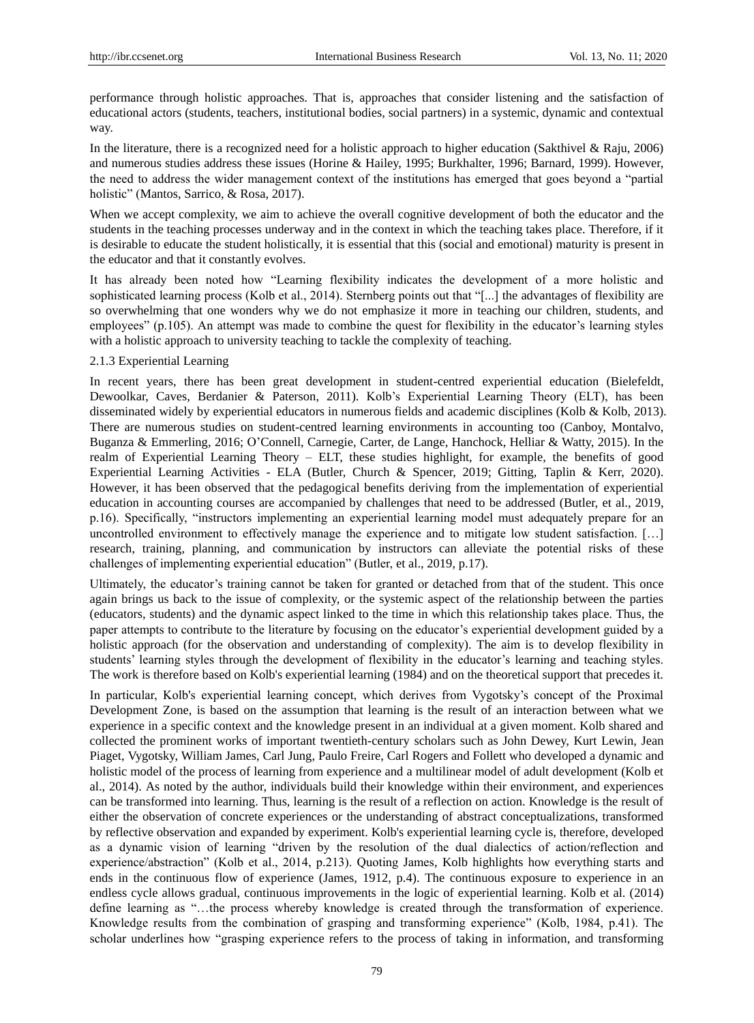performance through holistic approaches. That is, approaches that consider listening and the satisfaction of educational actors (students, teachers, institutional bodies, social partners) in a systemic, dynamic and contextual way.

In the literature, there is a recognized need for a holistic approach to higher education (Sakthivel & Raju, 2006) and numerous studies address these issues (Horine & Hailey, 1995; Burkhalter, 1996; Barnard, 1999). However, the need to address the wider management context of the institutions has emerged that goes beyond a "partial" holistic" (Mantos, Sarrico, & Rosa, 2017).

When we accept complexity, we aim to achieve the overall cognitive development of both the educator and the students in the teaching processes underway and in the context in which the teaching takes place. Therefore, if it is desirable to educate the student holistically, it is essential that this (social and emotional) maturity is present in the educator and that it constantly evolves.

It has already been noted how "Learning flexibility indicates the development of a more holistic and sophisticated learning process (Kolb et al., 2014). Sternberg points out that "[...] the advantages of flexibility are so overwhelming that one wonders why we do not emphasize it more in teaching our children, students, and employees" (p.105). An attempt was made to combine the quest for flexibility in the educator's learning styles with a holistic approach to university teaching to tackle the complexity of teaching.

#### 2.1.3 Experiential Learning

In recent years, there has been great development in student-centred experiential education (Bielefeldt, Dewoolkar, Caves, Berdanier & Paterson, 2011). Kolb's Experiential Learning Theory (ELT), has been disseminated widely by experiential educators in numerous fields and academic disciplines (Kolb & Kolb, 2013). There are numerous studies on student-centred learning environments in accounting too (Canboy, Montalvo, Buganza & Emmerling, 2016; O'Connell, Carnegie, Carter, de Lange, Hanchock, Helliar & Watty, 2015). In the realm of Experiential Learning Theory – ELT, these studies highlight, for example, the benefits of good Experiential Learning Activities - ELA (Butler, Church & Spencer, 2019; Gitting, Taplin & Kerr, 2020). However, it has been observed that the pedagogical benefits deriving from the implementation of experiential education in accounting courses are accompanied by challenges that need to be addressed (Butler, et al., 2019, p.16). Specifically, "instructors implementing an experiential learning model must adequately prepare for an uncontrolled environment to effectively manage the experience and to mitigate low student satisfaction. […] research, training, planning, and communication by instructors can alleviate the potential risks of these challenges of implementing experiential education" (Butler, et al., 2019, p.17).

Ultimately, the educator's training cannot be taken for granted or detached from that of the student. This once again brings us back to the issue of complexity, or the systemic aspect of the relationship between the parties (educators, students) and the dynamic aspect linked to the time in which this relationship takes place. Thus, the paper attempts to contribute to the literature by focusing on the educator's experiential development guided by a holistic approach (for the observation and understanding of complexity). The aim is to develop flexibility in students' learning styles through the development of flexibility in the educator's learning and teaching styles. The work is therefore based on Kolb's experiential learning (1984) and on the theoretical support that precedes it.

In particular, Kolb's experiential learning concept, which derives from Vygotsky's concept of the Proximal Development Zone, is based on the assumption that learning is the result of an interaction between what we experience in a specific context and the knowledge present in an individual at a given moment. Kolb shared and collected the prominent works of important twentieth-century scholars such as John Dewey, Kurt Lewin, Jean Piaget, Vygotsky, William James, Carl Jung, Paulo Freire, Carl Rogers and Follett who developed a dynamic and holistic model of the process of learning from experience and a multilinear model of adult development (Kolb et al., 2014). As noted by the author, individuals build their knowledge within their environment, and experiences can be transformed into learning. Thus, learning is the result of a reflection on action. Knowledge is the result of either the observation of concrete experiences or the understanding of abstract conceptualizations, transformed by reflective observation and expanded by experiment. Kolb's experiential learning cycle is, therefore, developed as a dynamic vision of learning "driven by the resolution of the dual dialectics of action/reflection and experience/abstraction" (Kolb et al., 2014, p.213). Quoting James, Kolb highlights how everything starts and ends in the continuous flow of experience (James, 1912, p.4). The continuous exposure to experience in an endless cycle allows gradual, continuous improvements in the logic of experiential learning. Kolb et al. (2014) define learning as "...the process whereby knowledge is created through the transformation of experience. Knowledge results from the combination of grasping and transforming experience" (Kolb, 1984, p.41). The scholar underlines how "grasping experience refers to the process of taking in information, and transforming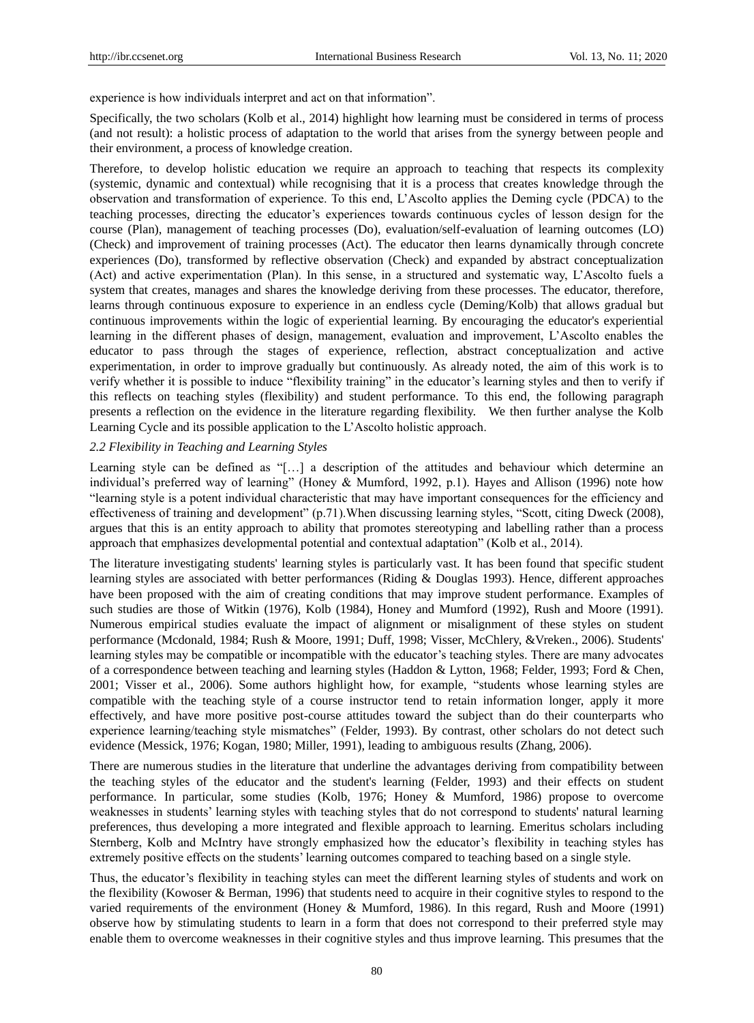experience is how individuals interpret and act on that information".

Specifically, the two scholars (Kolb et al., 2014) highlight how learning must be considered in terms of process (and not result): a holistic process of adaptation to the world that arises from the synergy between people and their environment, a process of knowledge creation.

Therefore, to develop holistic education we require an approach to teaching that respects its complexity (systemic, dynamic and contextual) while recognising that it is a process that creates knowledge through the observation and transformation of experience. To this end, L'Ascolto applies the Deming cycle (PDCA) to the teaching processes, directing the educator's experiences towards continuous cycles of lesson design for the course (Plan), management of teaching processes (Do), evaluation/self-evaluation of learning outcomes (LO) (Check) and improvement of training processes (Act). The educator then learns dynamically through concrete experiences (Do), transformed by reflective observation (Check) and expanded by abstract conceptualization (Act) and active experimentation (Plan). In this sense, in a structured and systematic way, L'Ascolto fuels a system that creates, manages and shares the knowledge deriving from these processes. The educator, therefore, learns through continuous exposure to experience in an endless cycle (Deming/Kolb) that allows gradual but continuous improvements within the logic of experiential learning. By encouraging the educator's experiential learning in the different phases of design, management, evaluation and improvement, L'Ascolto enables the educator to pass through the stages of experience, reflection, abstract conceptualization and active experimentation, in order to improve gradually but continuously. As already noted, the aim of this work is to verify whether it is possible to induce "flexibility training" in the educator's learning styles and then to verify if this reflects on teaching styles (flexibility) and student performance. To this end, the following paragraph presents a reflection on the evidence in the literature regarding flexibility. We then further analyse the Kolb Learning Cycle and its possible application to the L'Ascolto holistic approach.

#### *2.2 Flexibility in Teaching and Learning Styles*

Learning style can be defined as "[...] a description of the attitudes and behaviour which determine an individual's preferred way of learning" (Honey & Mumford, 1992, p.1). Hayes and Allison (1996) note how ―learning style is a potent individual characteristic that may have important consequences for the efficiency and effectiveness of training and development" (p.71). When discussing learning styles, "Scott, citing Dweck (2008), argues that this is an entity approach to ability that promotes stereotyping and labelling rather than a process approach that emphasizes developmental potential and contextual adaptation" (Kolb et al., 2014).

The literature investigating students' learning styles is particularly vast. It has been found that specific student learning styles are associated with better performances (Riding & Douglas 1993). Hence, different approaches have been proposed with the aim of creating conditions that may improve student performance. Examples of such studies are those of Witkin (1976), Kolb (1984), Honey and Mumford (1992), Rush and Moore (1991). Numerous empirical studies evaluate the impact of alignment or misalignment of these styles on student performance (Mcdonald, 1984; Rush & Moore, 1991; Duff, 1998; Visser, McChlery, &Vreken., 2006). Students' learning styles may be compatible or incompatible with the educator's teaching styles. There are many advocates of a correspondence between teaching and learning styles (Haddon & Lytton, 1968; Felder, 1993; Ford & Chen, 2001; Visser et al., 2006). Some authors highlight how, for example, "students whose learning styles are compatible with the teaching style of a course instructor tend to retain information longer, apply it more effectively, and have more positive post-course attitudes toward the subject than do their counterparts who experience learning/teaching style mismatches" (Felder, 1993). By contrast, other scholars do not detect such evidence (Messick, 1976; Kogan, 1980; Miller, 1991), leading to ambiguous results (Zhang, 2006).

There are numerous studies in the literature that underline the advantages deriving from compatibility between the teaching styles of the educator and the student's learning (Felder, 1993) and their effects on student performance. In particular, some studies (Kolb, 1976; Honey & Mumford, 1986) propose to overcome weaknesses in students' learning styles with teaching styles that do not correspond to students' natural learning preferences, thus developing a more integrated and flexible approach to learning. Emeritus scholars including Sternberg, Kolb and McIntry have strongly emphasized how the educator's flexibility in teaching styles has extremely positive effects on the students' learning outcomes compared to teaching based on a single style.

Thus, the educator's flexibility in teaching styles can meet the different learning styles of students and work on the flexibility (Kowoser & Berman, 1996) that students need to acquire in their cognitive styles to respond to the varied requirements of the environment (Honey & Mumford, 1986). In this regard, Rush and Moore (1991) observe how by stimulating students to learn in a form that does not correspond to their preferred style may enable them to overcome weaknesses in their cognitive styles and thus improve learning. This presumes that the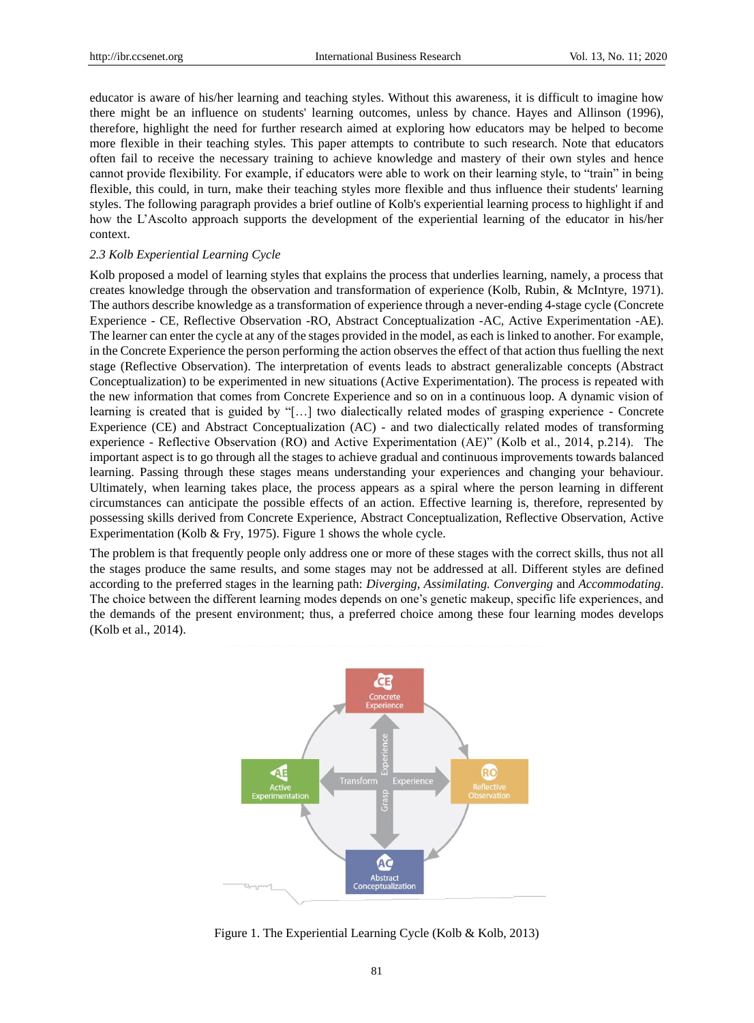educator is aware of his/her learning and teaching styles. Without this awareness, it is difficult to imagine how there might be an influence on students' learning outcomes, unless by chance. Hayes and Allinson (1996), therefore, highlight the need for further research aimed at exploring how educators may be helped to become more flexible in their teaching styles. This paper attempts to contribute to such research. Note that educators often fail to receive the necessary training to achieve knowledge and mastery of their own styles and hence cannot provide flexibility. For example, if educators were able to work on their learning style, to "train" in being flexible, this could, in turn, make their teaching styles more flexible and thus influence their students' learning styles. The following paragraph provides a brief outline of Kolb's experiential learning process to highlight if and how the L'Ascolto approach supports the development of the experiential learning of the educator in his/her context.

#### *2.3 Kolb Experiential Learning Cycle*

Kolb proposed a model of learning styles that explains the process that underlies learning, namely, a process that creates knowledge through the observation and transformation of experience (Kolb, Rubin, & McIntyre, 1971). The authors describe knowledge as a transformation of experience through a never-ending 4-stage cycle (Concrete Experience - CE, Reflective Observation -RO, Abstract Conceptualization -AC, Active Experimentation -AE). The learner can enter the cycle at any of the stages provided in the model, as each is linked to another. For example, in the Concrete Experience the person performing the action observes the effect of that action thus fuelling the next stage (Reflective Observation). The interpretation of events leads to abstract generalizable concepts (Abstract Conceptualization) to be experimented in new situations (Active Experimentation). The process is repeated with the new information that comes from Concrete Experience and so on in a continuous loop. A dynamic vision of learning is created that is guided by "[...] two dialectically related modes of grasping experience - Concrete Experience (CE) and Abstract Conceptualization (AC) - and two dialectically related modes of transforming experience - Reflective Observation (RO) and Active Experimentation (AE)" (Kolb et al., 2014, p.214). The important aspect is to go through all the stages to achieve gradual and continuous improvements towards balanced learning. Passing through these stages means understanding your experiences and changing your behaviour. Ultimately, when learning takes place, the process appears as a spiral where the person learning in different circumstances can anticipate the possible effects of an action. Effective learning is, therefore, represented by possessing skills derived from Concrete Experience, Abstract Conceptualization, Reflective Observation, Active Experimentation (Kolb & Fry, 1975). Figure 1 shows the whole cycle.

The problem is that frequently people only address one or more of these stages with the correct skills, thus not all the stages produce the same results, and some stages may not be addressed at all. Different styles are defined according to the preferred stages in the learning path: *Diverging, Assimilating. Converging* and *Accommodating*. The choice between the different learning modes depends on one's genetic makeup, specific life experiences, and the demands of the present environment; thus, a preferred choice among these four learning modes develops (Kolb et al., 2014).



Figure 1. The Experiential Learning Cycle (Kolb & Kolb, 2013)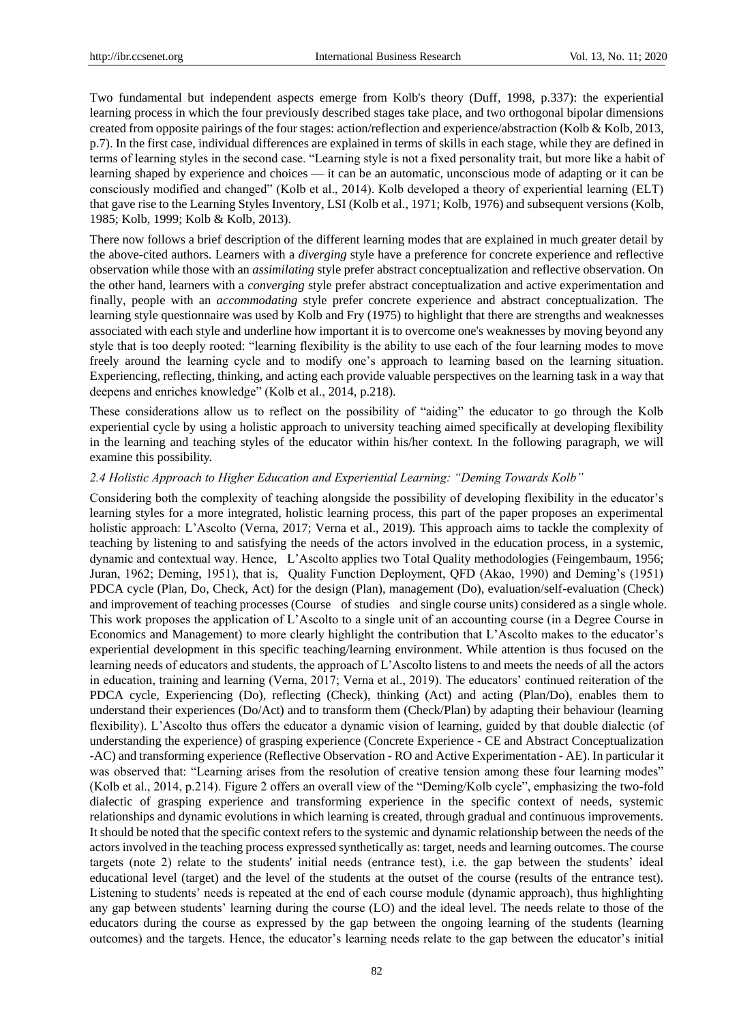Two fundamental but independent aspects emerge from Kolb's theory (Duff, 1998, p.337): the experiential learning process in which the four previously described stages take place, and two orthogonal bipolar dimensions created from opposite pairings of the four stages: action/reflection and experience/abstraction (Kolb & Kolb, 2013, p.7). In the first case, individual differences are explained in terms of skills in each stage, while they are defined in terms of learning styles in the second case. "Learning style is not a fixed personality trait, but more like a habit of learning shaped by experience and choices — it can be an automatic, unconscious mode of adapting or it can be consciously modified and changed" (Kolb et al., 2014). Kolb developed a theory of experiential learning (ELT) that gave rise to the Learning Styles Inventory, LSI (Kolb et al., 1971; Kolb, 1976) and subsequent versions (Kolb, 1985; Kolb, 1999; Kolb & Kolb, 2013).

There now follows a brief description of the different learning modes that are explained in much greater detail by the above-cited authors. Learners with a *diverging* style have a preference for concrete experience and reflective observation while those with an *assimilating* style prefer abstract conceptualization and reflective observation. On the other hand, learners with a *converging* style prefer abstract conceptualization and active experimentation and finally, people with an *accommodating* style prefer concrete experience and abstract conceptualization. The learning style questionnaire was used by Kolb and Fry (1975) to highlight that there are strengths and weaknesses associated with each style and underline how important it is to overcome one's weaknesses by moving beyond any style that is too deeply rooted: "learning flexibility is the ability to use each of the four learning modes to move freely around the learning cycle and to modify one's approach to learning based on the learning situation. Experiencing, reflecting, thinking, and acting each provide valuable perspectives on the learning task in a way that deepens and enriches knowledge" (Kolb et al., 2014, p.218).

These considerations allow us to reflect on the possibility of "aiding" the educator to go through the Kolb experiential cycle by using a holistic approach to university teaching aimed specifically at developing flexibility in the learning and teaching styles of the educator within his/her context. In the following paragraph, we will examine this possibility.

#### *2.4 Holistic Approach to Higher Education and Experiential Learning: "Deming Towards Kolb"*

Considering both the complexity of teaching alongside the possibility of developing flexibility in the educator's learning styles for a more integrated, holistic learning process, this part of the paper proposes an experimental holistic approach: L'Ascolto (Verna, 2017; Verna et al., 2019). This approach aims to tackle the complexity of teaching by listening to and satisfying the needs of the actors involved in the education process, in a systemic, dynamic and contextual way. Hence, L'Ascolto applies two Total Quality methodologies (Feingembaum, 1956; Juran, 1962; Deming, 1951), that is, Quality Function Deployment, QFD (Akao, 1990) and Deming's (1951) PDCA cycle (Plan, Do, Check, Act) for the design (Plan), management (Do), evaluation/self-evaluation (Check) and improvement of teaching processes (Course of studies and single course units) considered as a single whole. This work proposes the application of L'Ascolto to a single unit of an accounting course (in a Degree Course in Economics and Management) to more clearly highlight the contribution that L'Ascolto makes to the educator's experiential development in this specific teaching/learning environment. While attention is thus focused on the learning needs of educators and students, the approach of L'Ascolto listens to and meets the needs of all the actors in education, training and learning (Verna, 2017; Verna et al., 2019). The educators' continued reiteration of the PDCA cycle, Experiencing (Do), reflecting (Check), thinking (Act) and acting (Plan/Do), enables them to understand their experiences (Do/Act) and to transform them (Check/Plan) by adapting their behaviour (learning flexibility). L'Ascolto thus offers the educator a dynamic vision of learning, guided by that double dialectic (of understanding the experience) of grasping experience (Concrete Experience - CE and Abstract Conceptualization -AC) and transforming experience (Reflective Observation - RO and Active Experimentation - AE). In particular it was observed that: "Learning arises from the resolution of creative tension among these four learning modes" (Kolb et al., 2014, p.214). Figure 2 offers an overall view of the "Deming/Kolb cycle", emphasizing the two-fold dialectic of grasping experience and transforming experience in the specific context of needs, systemic relationships and dynamic evolutions in which learning is created, through gradual and continuous improvements. It should be noted that the specific context refers to the systemic and dynamic relationship between the needs of the actors involved in the teaching process expressed synthetically as: target, needs and learning outcomes. The course targets (note 2) relate to the students' initial needs (entrance test), i.e. the gap between the students' ideal educational level (target) and the level of the students at the outset of the course (results of the entrance test). Listening to students' needs is repeated at the end of each course module (dynamic approach), thus highlighting any gap between students' learning during the course (LO) and the ideal level. The needs relate to those of the educators during the course as expressed by the gap between the ongoing learning of the students (learning outcomes) and the targets. Hence, the educator's learning needs relate to the gap between the educator's initial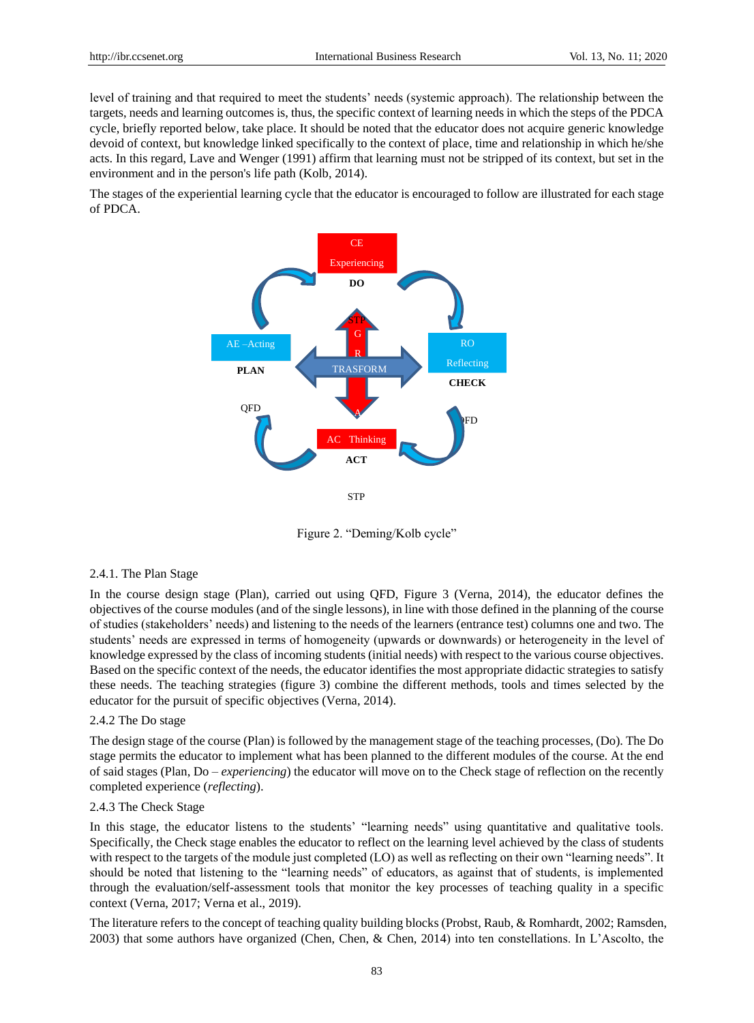level of training and that required to meet the students' needs (systemic approach). The relationship between the targets, needs and learning outcomes is, thus, the specific context of learning needs in which the steps of the PDCA cycle, briefly reported below, take place. It should be noted that the educator does not acquire generic knowledge devoid of context, but knowledge linked specifically to the context of place, time and relationship in which he/she acts. In this regard, Lave and Wenger (1991) affirm that learning must not be stripped of its context, but set in the environment and in the person's life path (Kolb, 2014).

The stages of the experiential learning cycle that the educator is encouraged to follow are illustrated for each stage of PDCA.



Figure 2. "Deming/Kolb cycle"

#### 2.4.1. The Plan Stage

In the course design stage (Plan), carried out using QFD, Figure 3 (Verna, 2014), the educator defines the objectives of the course modules (and of the single lessons), in line with those defined in the planning of the course of studies (stakeholders' needs) and listening to the needs of the learners (entrance test) columns one and two. The students' needs are expressed in terms of homogeneity (upwards or downwards) or heterogeneity in the level of knowledge expressed by the class of incoming students (initial needs) with respect to the various course objectives. Based on the specific context of the needs, the educator identifies the most appropriate didactic strategies to satisfy these needs. The teaching strategies (figure 3) combine the different methods, tools and times selected by the educator for the pursuit of specific objectives (Verna, 2014).

#### 2.4.2 The Do stage

The design stage of the course (Plan) is followed by the management stage of the teaching processes, (Do). The Do stage permits the educator to implement what has been planned to the different modules of the course. At the end of said stages (Plan, Do – *experiencing*) the educator will move on to the Check stage of reflection on the recently completed experience (*reflecting*).

#### 2.4.3 The Check Stage

In this stage, the educator listens to the students' "learning needs" using quantitative and qualitative tools. Specifically, the Check stage enables the educator to reflect on the learning level achieved by the class of students with respect to the targets of the module just completed (LO) as well as reflecting on their own "learning needs". It should be noted that listening to the "learning needs" of educators, as against that of students, is implemented through the evaluation/self-assessment tools that monitor the key processes of teaching quality in a specific context (Verna, 2017; Verna et al., 2019).

The literature refers to the concept of teaching quality building blocks (Probst, Raub, & Romhardt, 2002; Ramsden, 2003) that some authors have organized (Chen, Chen, & Chen, 2014) into ten constellations. In L'Ascolto, the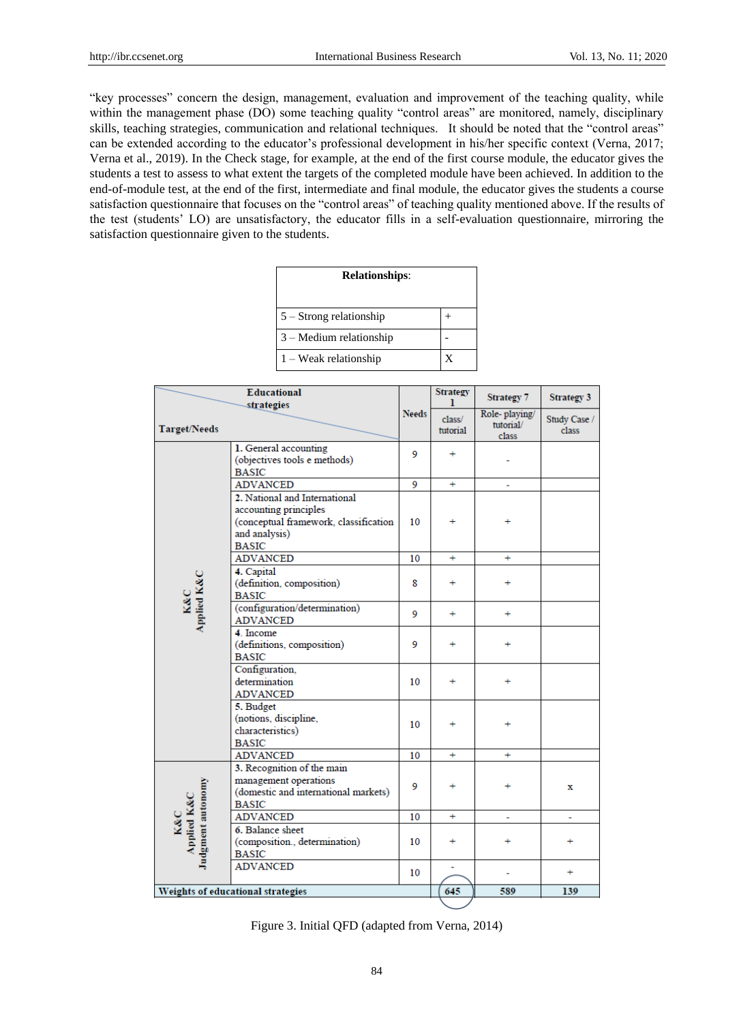―key processes‖ concern the design, management, evaluation and improvement of the teaching quality, while within the management phase (DO) some teaching quality "control areas" are monitored, namely, disciplinary skills, teaching strategies, communication and relational techniques. It should be noted that the "control areas" can be extended according to the educator's professional development in his/her specific context (Verna, 2017; Verna et al., 2019). In the Check stage, for example, at the end of the first course module, the educator gives the students a test to assess to what extent the targets of the completed module have been achieved. In addition to the end-of-module test, at the end of the first, intermediate and final module, the educator gives the students a course satisfaction questionnaire that focuses on the "control areas" of teaching quality mentioned above. If the results of the test (students' LO) are unsatisfactory, the educator fills in a self-evaluation questionnaire, mirroring the satisfaction questionnaire given to the students.

| <b>Relationships:</b>     |  |  |  |  |
|---------------------------|--|--|--|--|
| $5 -$ Strong relationship |  |  |  |  |
| $3 -$ Medium relationship |  |  |  |  |
| $1 - Weak$ relationship   |  |  |  |  |

| <b>Educational</b><br>strategies        |                                                                                                                                  |              | <b>Strategy</b><br>ı | <b>Strategy 7</b>                   | <b>Strategy 3</b>     |  |
|-----------------------------------------|----------------------------------------------------------------------------------------------------------------------------------|--------------|----------------------|-------------------------------------|-----------------------|--|
| <b>Target/Needs</b>                     |                                                                                                                                  | <b>Needs</b> | class/<br>tutorial   | Role-playing/<br>tutorial/<br>class | Study Case /<br>class |  |
|                                         | 1. General accounting<br>(objectives tools e methods)<br><b>BASIC</b>                                                            | 9            | ÷                    |                                     |                       |  |
|                                         | <b>ADVANCED</b>                                                                                                                  | 9            | $+$                  | ÷.                                  |                       |  |
|                                         | 2. National and International<br>accounting principles<br>(conceptual framework, classification<br>and analysis)<br><b>BASIC</b> | 10           |                      |                                     |                       |  |
|                                         | <b>ADVANCED</b>                                                                                                                  | 10           | $+$                  | ÷                                   |                       |  |
| K&C<br>Applied K&C                      | 4. Capital<br>(definition, composition)<br><b>BASIC</b>                                                                          | 8            | $\ddot{}$            | $\ddot{}$                           |                       |  |
|                                         | (configuration/determination)<br><b>ADVANCED</b>                                                                                 | 9            | ÷                    | ÷.                                  |                       |  |
|                                         | 4. Income<br>(definitions, composition)<br><b>BASIC</b>                                                                          | 9            | ÷                    | $\ddot{}$                           |                       |  |
|                                         | Configuration,<br>determination<br><b>ADVANCED</b>                                                                               | 10           | ÷                    | ÷                                   |                       |  |
|                                         | 5. Budget<br>(notions, discipline,<br>characteristics)<br><b>BASIC</b>                                                           | 10           | ÷                    | $\ddot{}$                           |                       |  |
|                                         | <b>ADVANCED</b>                                                                                                                  | 10           | ÷                    | ÷                                   |                       |  |
| K&C<br>Applied K&C<br>Judgment autonomy | 3. Recognition of the main<br>management operations<br>(domestic and international markets)<br><b>BASIC</b>                      | 9            | ÷                    | $\ddot{}$                           | x                     |  |
|                                         | <b>ADVANCED</b>                                                                                                                  | 10           | ÷                    | ÷.                                  |                       |  |
|                                         | 6. Balance sheet<br>(composition., determination)<br><b>BASIC</b>                                                                | 10           | ÷                    | $\ddot{}$                           | $\ddot{}$             |  |
|                                         | <b>ADVANCED</b>                                                                                                                  | 10           |                      |                                     | ÷.                    |  |
|                                         | Weights of educational strategies                                                                                                | 645          | 589                  | 139                                 |                       |  |

|  |  |  | Figure 3. Initial QFD (adapted from Verna, 2014) |  |  |  |
|--|--|--|--------------------------------------------------|--|--|--|
|--|--|--|--------------------------------------------------|--|--|--|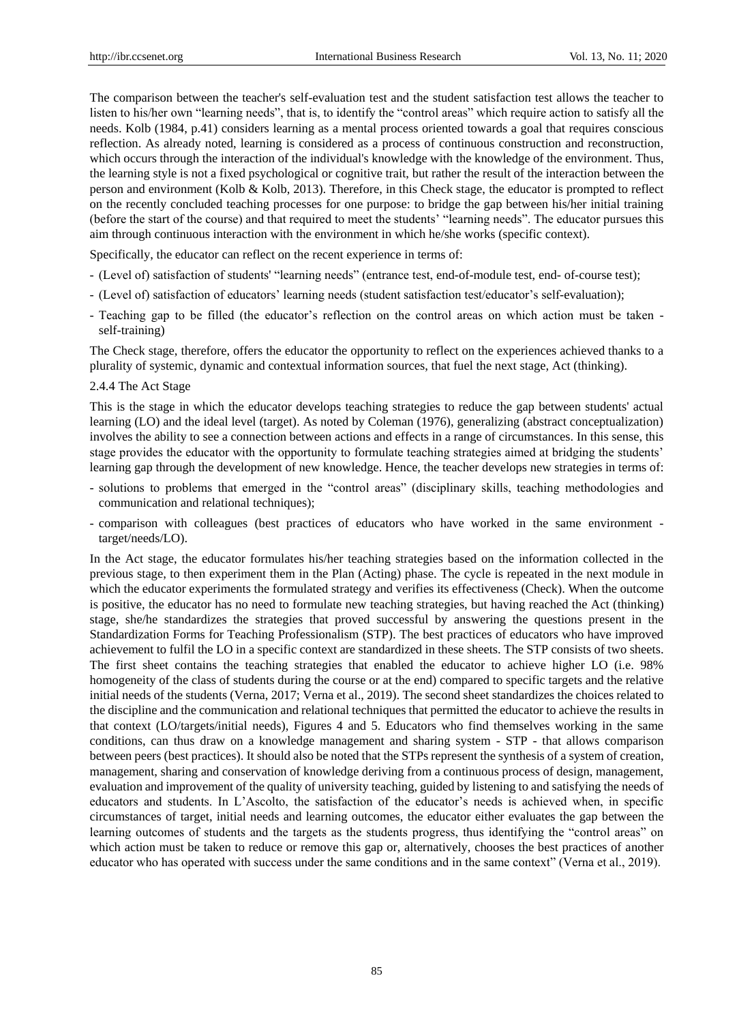The comparison between the teacher's self-evaluation test and the student satisfaction test allows the teacher to listen to his/her own "learning needs", that is, to identify the "control areas" which require action to satisfy all the needs. Kolb (1984, p.41) considers learning as a mental process oriented towards a goal that requires conscious reflection. As already noted, learning is considered as a process of continuous construction and reconstruction, which occurs through the interaction of the individual's knowledge with the knowledge of the environment. Thus, the learning style is not a fixed psychological or cognitive trait, but rather the result of the interaction between the person and environment (Kolb & Kolb, 2013). Therefore, in this Check stage, the educator is prompted to reflect on the recently concluded teaching processes for one purpose: to bridge the gap between his/her initial training (before the start of the course) and that required to meet the students' "learning needs". The educator pursues this aim through continuous interaction with the environment in which he/she works (specific context).

Specifically, the educator can reflect on the recent experience in terms of:

- (Level of) satisfaction of students' "learning needs" (entrance test, end-of-module test, end- of-course test);
- (Level of) satisfaction of educators' learning needs (student satisfaction test/educator's self-evaluation);
- Teaching gap to be filled (the educator's reflection on the control areas on which action must be taken self-training)

The Check stage, therefore, offers the educator the opportunity to reflect on the experiences achieved thanks to a plurality of systemic, dynamic and contextual information sources, that fuel the next stage, Act (thinking).

#### 2.4.4 The Act Stage

This is the stage in which the educator develops teaching strategies to reduce the gap between students' actual learning (LO) and the ideal level (target). As noted by Coleman (1976), generalizing (abstract conceptualization) involves the ability to see a connection between actions and effects in a range of circumstances. In this sense, this stage provides the educator with the opportunity to formulate teaching strategies aimed at bridging the students' learning gap through the development of new knowledge. Hence, the teacher develops new strategies in terms of:

- solutions to problems that emerged in the "control areas" (disciplinary skills, teaching methodologies and communication and relational techniques);
- comparison with colleagues (best practices of educators who have worked in the same environment target/needs/LO).

In the Act stage, the educator formulates his/her teaching strategies based on the information collected in the previous stage, to then experiment them in the Plan (Acting) phase. The cycle is repeated in the next module in which the educator experiments the formulated strategy and verifies its effectiveness (Check). When the outcome is positive, the educator has no need to formulate new teaching strategies, but having reached the Act (thinking) stage, she/he standardizes the strategies that proved successful by answering the questions present in the Standardization Forms for Teaching Professionalism (STP). The best practices of educators who have improved achievement to fulfil the LO in a specific context are standardized in these sheets. The STP consists of two sheets. The first sheet contains the teaching strategies that enabled the educator to achieve higher LO (i.e. 98% homogeneity of the class of students during the course or at the end) compared to specific targets and the relative initial needs of the students (Verna, 2017; Verna et al., 2019). The second sheet standardizes the choices related to the discipline and the communication and relational techniques that permitted the educator to achieve the results in that context (LO/targets/initial needs), Figures 4 and 5. Educators who find themselves working in the same conditions, can thus draw on a knowledge management and sharing system - STP - that allows comparison between peers (best practices). It should also be noted that the STPs represent the synthesis of a system of creation, management, sharing and conservation of knowledge deriving from a continuous process of design, management, evaluation and improvement of the quality of university teaching, guided by listening to and satisfying the needs of educators and students. In L'Ascolto, the satisfaction of the educator's needs is achieved when, in specific circumstances of target, initial needs and learning outcomes, the educator either evaluates the gap between the learning outcomes of students and the targets as the students progress, thus identifying the "control areas" on which action must be taken to reduce or remove this gap or, alternatively, chooses the best practices of another educator who has operated with success under the same conditions and in the same context" (Verna et al., 2019).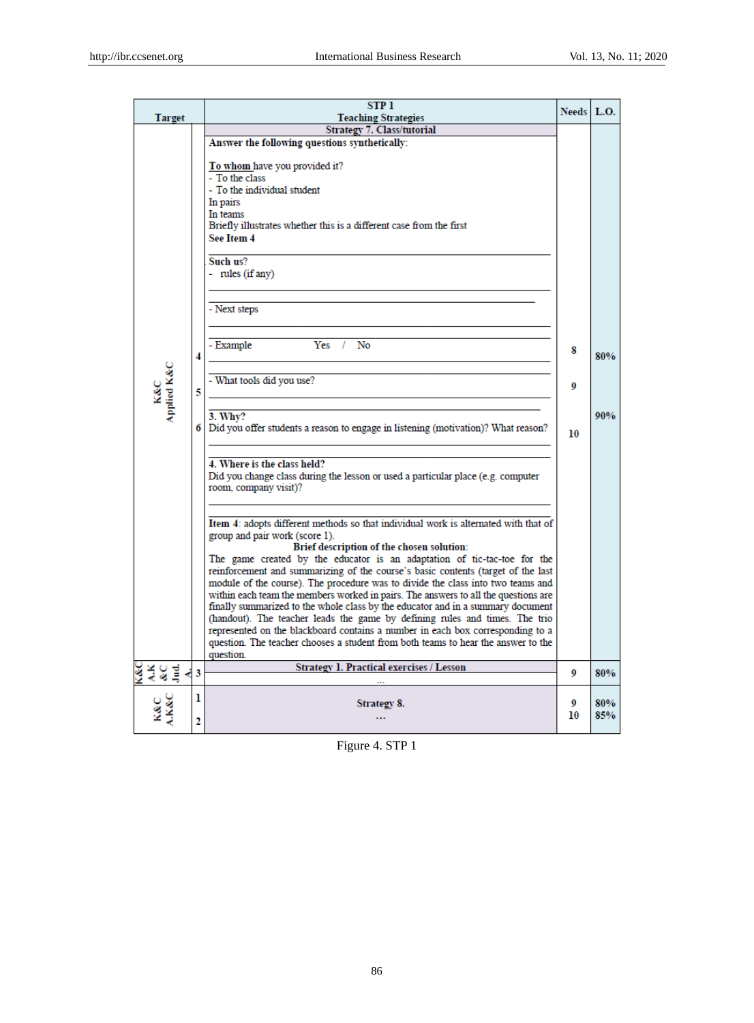| Target |                        |                                | <b>STP1</b><br><b>Teaching Strategies</b>                                                                                                                           |         |            |
|--------|------------------------|--------------------------------|---------------------------------------------------------------------------------------------------------------------------------------------------------------------|---------|------------|
|        |                        |                                | <b>Strategy 7. Class/tutorial</b>                                                                                                                                   |         |            |
|        |                        |                                | Answer the following questions synthetically:                                                                                                                       |         |            |
|        |                        |                                | To whom have you provided it?                                                                                                                                       |         |            |
|        |                        |                                | - To the class                                                                                                                                                      |         |            |
|        |                        |                                | - To the individual student                                                                                                                                         |         |            |
|        |                        |                                | In pairs<br>In teams                                                                                                                                                |         |            |
|        |                        |                                | Briefly illustrates whether this is a different case from the first                                                                                                 |         |            |
|        |                        |                                | See Item 4                                                                                                                                                          |         |            |
|        |                        |                                | Such us?<br>- rules (if any)                                                                                                                                        |         |            |
|        |                        |                                |                                                                                                                                                                     |         |            |
|        |                        |                                | - Next steps                                                                                                                                                        |         |            |
|        |                        |                                | $Yes$ /<br>No                                                                                                                                                       |         |            |
|        |                        | 4                              | - Example                                                                                                                                                           | 8       | 80%        |
|        | K&C<br>Applied K&C     | - What tools did you use?<br>5 | 9                                                                                                                                                                   |         |            |
|        |                        |                                | 3. Why?                                                                                                                                                             |         | 90%        |
|        |                        |                                | Did you offer students a reason to engage in listening (motivation)? What reason?<br>61                                                                             | 10      |            |
|        |                        |                                | 4. Where is the class held?                                                                                                                                         |         |            |
|        |                        |                                | Did you change class during the lesson or used a particular place (e.g. computer<br>room, company visit)?                                                           |         |            |
|        |                        |                                |                                                                                                                                                                     |         |            |
|        |                        |                                | Item 4: adopts different methods so that individual work is alternated with that of<br>group and pair work (score 1).                                               |         |            |
|        |                        |                                | Brief description of the chosen solution:                                                                                                                           |         |            |
|        |                        |                                | The game created by the educator is an adaptation of tic-tac-toe for the                                                                                            |         |            |
|        |                        |                                | reinforcement and summarizing of the course's basic contents (target of the last<br>module of the course). The procedure was to divide the class into two teams and |         |            |
|        |                        |                                | within each team the members worked in pairs. The answers to all the questions are                                                                                  |         |            |
|        |                        |                                | finally summarized to the whole class by the educator and in a summary document                                                                                     |         |            |
|        |                        |                                | (handout). The teacher leads the game by defining rules and times. The trio<br>represented on the blackboard contains a number in each box corresponding to a       |         |            |
|        |                        |                                | question. The teacher chooses a student from both teams to hear the answer to the                                                                                   |         |            |
|        |                        |                                | question.                                                                                                                                                           |         |            |
|        | रुद्र<br>४५८<br>ग्रन्थ | 3                              | Strategy 1. Practical exercises / Lesson                                                                                                                            | 9       | 80%        |
|        |                        | ı                              |                                                                                                                                                                     |         |            |
|        | <b>LK&amp;C</b>        |                                | Strategy 8.                                                                                                                                                         | 0<br>10 | 80%<br>85% |
|        |                        | 2                              | .                                                                                                                                                                   |         |            |

Figure 4. STP 1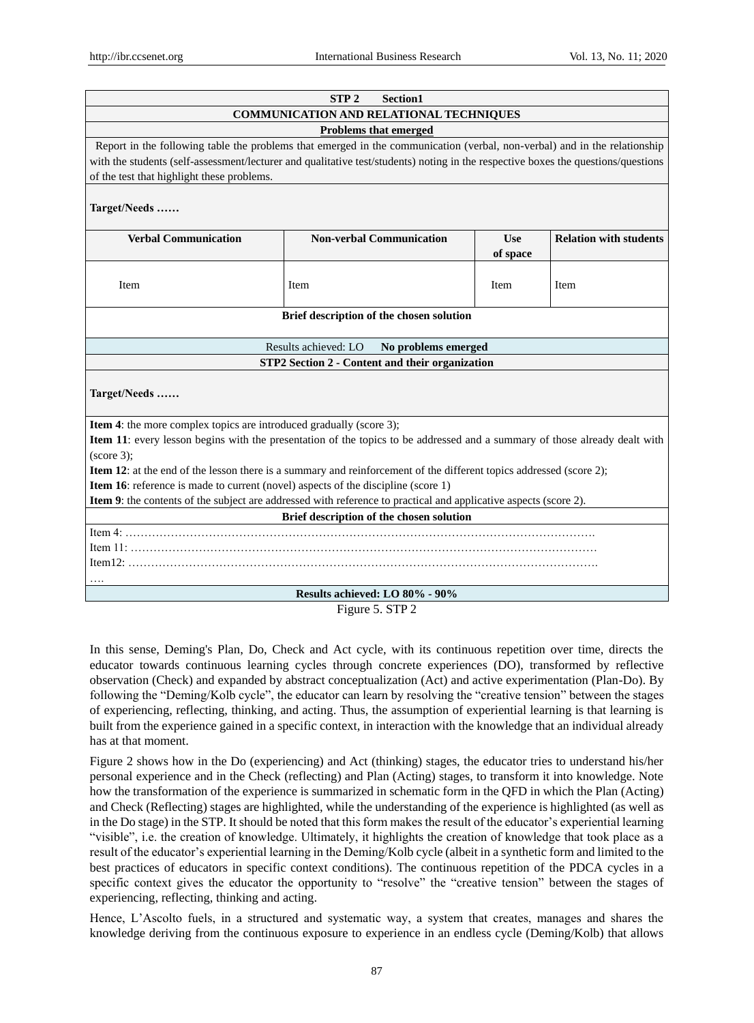| STP <sub>2</sub><br>Section1                                                                                               |                                                                                                                                   |            |                               |  |  |  |
|----------------------------------------------------------------------------------------------------------------------------|-----------------------------------------------------------------------------------------------------------------------------------|------------|-------------------------------|--|--|--|
|                                                                                                                            | COMMUNICATION AND RELATIONAL TECHNIQUES                                                                                           |            |                               |  |  |  |
|                                                                                                                            | <b>Problems that emerged</b>                                                                                                      |            |                               |  |  |  |
|                                                                                                                            | Report in the following table the problems that emerged in the communication (verbal, non-verbal) and in the relationship         |            |                               |  |  |  |
|                                                                                                                            | with the students (self-assessment/lecturer and qualitative test/students) noting in the respective boxes the questions/questions |            |                               |  |  |  |
| of the test that highlight these problems.                                                                                 |                                                                                                                                   |            |                               |  |  |  |
|                                                                                                                            |                                                                                                                                   |            |                               |  |  |  |
| Target/Needs                                                                                                               |                                                                                                                                   |            |                               |  |  |  |
| <b>Verbal Communication</b>                                                                                                | <b>Non-verbal Communication</b>                                                                                                   | <b>Use</b> | <b>Relation with students</b> |  |  |  |
|                                                                                                                            |                                                                                                                                   | of space   |                               |  |  |  |
|                                                                                                                            |                                                                                                                                   |            |                               |  |  |  |
| Item                                                                                                                       | Item                                                                                                                              | Item       | Item                          |  |  |  |
|                                                                                                                            |                                                                                                                                   |            |                               |  |  |  |
|                                                                                                                            | Brief description of the chosen solution                                                                                          |            |                               |  |  |  |
|                                                                                                                            |                                                                                                                                   |            |                               |  |  |  |
|                                                                                                                            | Results achieved: LO<br>No problems emerged                                                                                       |            |                               |  |  |  |
|                                                                                                                            | STP2 Section 2 - Content and their organization                                                                                   |            |                               |  |  |  |
|                                                                                                                            |                                                                                                                                   |            |                               |  |  |  |
| Target/Needs                                                                                                               |                                                                                                                                   |            |                               |  |  |  |
|                                                                                                                            |                                                                                                                                   |            |                               |  |  |  |
| <b>Item 4:</b> the more complex topics are introduced gradually (score 3);                                                 |                                                                                                                                   |            |                               |  |  |  |
| Item 11: every lesson begins with the presentation of the topics to be addressed and a summary of those already dealt with |                                                                                                                                   |            |                               |  |  |  |
| (score 3);                                                                                                                 |                                                                                                                                   |            |                               |  |  |  |
| Item 12: at the end of the lesson there is a summary and reinforcement of the different topics addressed (score 2);        |                                                                                                                                   |            |                               |  |  |  |
| <b>Item 16:</b> reference is made to current (novel) aspects of the discipline (score 1)                                   |                                                                                                                                   |            |                               |  |  |  |
| Item 9: the contents of the subject are addressed with reference to practical and applicative aspects (score 2).           |                                                                                                                                   |            |                               |  |  |  |
|                                                                                                                            | Brief description of the chosen solution                                                                                          |            |                               |  |  |  |
|                                                                                                                            |                                                                                                                                   |            |                               |  |  |  |
|                                                                                                                            |                                                                                                                                   |            |                               |  |  |  |
|                                                                                                                            |                                                                                                                                   |            |                               |  |  |  |
|                                                                                                                            |                                                                                                                                   |            |                               |  |  |  |
| Results achieved: LO 80% - 90%                                                                                             |                                                                                                                                   |            |                               |  |  |  |

Figure 5. STP 2

In this sense, Deming's Plan, Do, Check and Act cycle, with its continuous repetition over time, directs the educator towards continuous learning cycles through concrete experiences (DO), transformed by reflective observation (Check) and expanded by abstract conceptualization (Act) and active experimentation (Plan-Do). By following the "Deming/Kolb cycle", the educator can learn by resolving the "creative tension" between the stages of experiencing, reflecting, thinking, and acting. Thus, the assumption of experiential learning is that learning is built from the experience gained in a specific context, in interaction with the knowledge that an individual already has at that moment.

Figure 2 shows how in the Do (experiencing) and Act (thinking) stages, the educator tries to understand his/her personal experience and in the Check (reflecting) and Plan (Acting) stages, to transform it into knowledge. Note how the transformation of the experience is summarized in schematic form in the QFD in which the Plan (Acting) and Check (Reflecting) stages are highlighted, while the understanding of the experience is highlighted (as well as in the Do stage) in the STP. It should be noted that this form makes the result of the educator's experiential learning ―visible‖, i.e. the creation of knowledge. Ultimately, it highlights the creation of knowledge that took place as a result of the educator's experiential learning in the Deming/Kolb cycle (albeit in a synthetic form and limited to the best practices of educators in specific context conditions). The continuous repetition of the PDCA cycles in a specific context gives the educator the opportunity to "resolve" the "creative tension" between the stages of experiencing, reflecting, thinking and acting.

Hence, L'Ascolto fuels, in a structured and systematic way, a system that creates, manages and shares the knowledge deriving from the continuous exposure to experience in an endless cycle (Deming/Kolb) that allows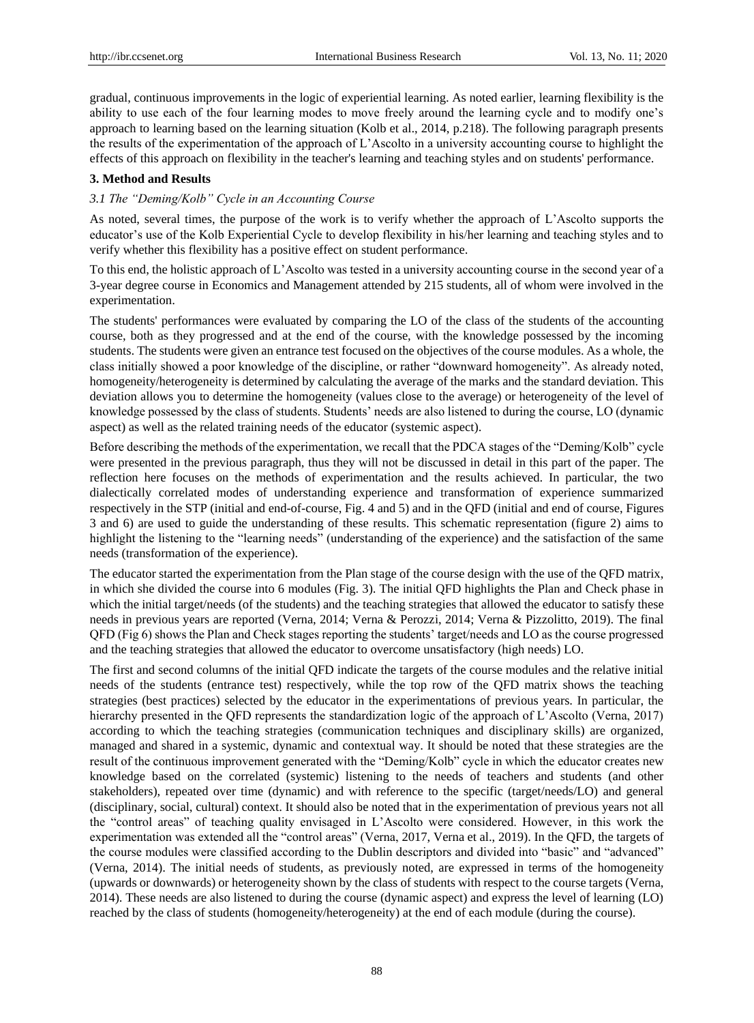gradual, continuous improvements in the logic of experiential learning. As noted earlier, learning flexibility is the ability to use each of the four learning modes to move freely around the learning cycle and to modify one's approach to learning based on the learning situation (Kolb et al., 2014, p.218). The following paragraph presents the results of the experimentation of the approach of L'Ascolto in a university accounting course to highlight the effects of this approach on flexibility in the teacher's learning and teaching styles and on students' performance.

#### **3. Method and Results**

## *3.1 The "Deming/Kolb" Cycle in an Accounting Course*

As noted, several times, the purpose of the work is to verify whether the approach of L'Ascolto supports the educator's use of the Kolb Experiential Cycle to develop flexibility in his/her learning and teaching styles and to verify whether this flexibility has a positive effect on student performance.

To this end, the holistic approach of L'Ascolto was tested in a university accounting course in the second year of a 3-year degree course in Economics and Management attended by 215 students, all of whom were involved in the experimentation.

The students' performances were evaluated by comparing the LO of the class of the students of the accounting course, both as they progressed and at the end of the course, with the knowledge possessed by the incoming students. The students were given an entrance test focused on the objectives of the course modules. As a whole, the class initially showed a poor knowledge of the discipline, or rather "downward homogeneity". As already noted, homogeneity/heterogeneity is determined by calculating the average of the marks and the standard deviation. This deviation allows you to determine the homogeneity (values close to the average) or heterogeneity of the level of knowledge possessed by the class of students. Students' needs are also listened to during the course, LO (dynamic aspect) as well as the related training needs of the educator (systemic aspect).

Before describing the methods of the experimentation, we recall that the PDCA stages of the "Deming/Kolb" cycle were presented in the previous paragraph, thus they will not be discussed in detail in this part of the paper. The reflection here focuses on the methods of experimentation and the results achieved. In particular, the two dialectically correlated modes of understanding experience and transformation of experience summarized respectively in the STP (initial and end-of-course, Fig. 4 and 5) and in the QFD (initial and end of course, Figures 3 and 6) are used to guide the understanding of these results. This schematic representation (figure 2) aims to highlight the listening to the "learning needs" (understanding of the experience) and the satisfaction of the same needs (transformation of the experience).

The educator started the experimentation from the Plan stage of the course design with the use of the QFD matrix, in which she divided the course into 6 modules (Fig. 3). The initial QFD highlights the Plan and Check phase in which the initial target/needs (of the students) and the teaching strategies that allowed the educator to satisfy these needs in previous years are reported (Verna, 2014; Verna & Perozzi, 2014; Verna & Pizzolitto, 2019). The final QFD (Fig 6) shows the Plan and Check stages reporting the students' target/needs and LO as the course progressed and the teaching strategies that allowed the educator to overcome unsatisfactory (high needs) LO.

The first and second columns of the initial QFD indicate the targets of the course modules and the relative initial needs of the students (entrance test) respectively, while the top row of the QFD matrix shows the teaching strategies (best practices) selected by the educator in the experimentations of previous years. In particular, the hierarchy presented in the QFD represents the standardization logic of the approach of L'Ascolto (Verna, 2017) according to which the teaching strategies (communication techniques and disciplinary skills) are organized, managed and shared in a systemic, dynamic and contextual way. It should be noted that these strategies are the result of the continuous improvement generated with the "Deming/Kolb" cycle in which the educator creates new knowledge based on the correlated (systemic) listening to the needs of teachers and students (and other stakeholders), repeated over time (dynamic) and with reference to the specific (target/needs/LO) and general (disciplinary, social, cultural) context. It should also be noted that in the experimentation of previous years not all the "control areas" of teaching quality envisaged in L'Ascolto were considered. However, in this work the experimentation was extended all the "control areas" (Verna, 2017, Verna et al., 2019). In the QFD, the targets of the course modules were classified according to the Dublin descriptors and divided into "basic" and "advanced" (Verna, 2014). The initial needs of students, as previously noted, are expressed in terms of the homogeneity (upwards or downwards) or heterogeneity shown by the class of students with respect to the course targets (Verna, 2014). These needs are also listened to during the course (dynamic aspect) and express the level of learning (LO) reached by the class of students (homogeneity/heterogeneity) at the end of each module (during the course).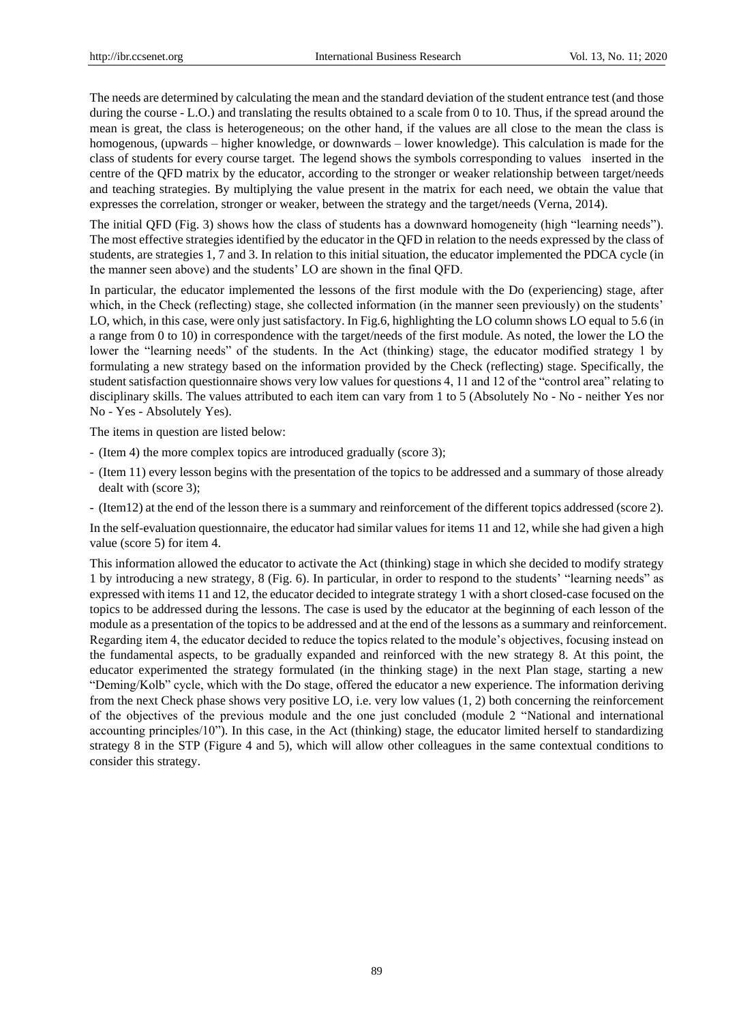The needs are determined by calculating the mean and the standard deviation of the student entrance test (and those during the course - L.O.) and translating the results obtained to a scale from 0 to 10. Thus, if the spread around the mean is great, the class is heterogeneous; on the other hand, if the values are all close to the mean the class is homogenous, (upwards – higher knowledge, or downwards – lower knowledge). This calculation is made for the class of students for every course target. The legend shows the symbols corresponding to values inserted in the centre of the QFD matrix by the educator, according to the stronger or weaker relationship between target/needs and teaching strategies. By multiplying the value present in the matrix for each need, we obtain the value that expresses the correlation, stronger or weaker, between the strategy and the target/needs (Verna, 2014).

The initial QFD (Fig. 3) shows how the class of students has a downward homogeneity (high "learning needs"). The most effective strategies identified by the educator in the QFD in relation to the needs expressed by the class of students, are strategies 1, 7 and 3. In relation to this initial situation, the educator implemented the PDCA cycle (in the manner seen above) and the students' LO are shown in the final QFD.

In particular, the educator implemented the lessons of the first module with the Do (experiencing) stage, after which, in the Check (reflecting) stage, she collected information (in the manner seen previously) on the students' LO, which, in this case, were only just satisfactory. In Fig.6, highlighting the LO column shows LO equal to 5.6 (in a range from 0 to 10) in correspondence with the target/needs of the first module. As noted, the lower the LO the lower the "learning needs" of the students. In the Act (thinking) stage, the educator modified strategy 1 by formulating a new strategy based on the information provided by the Check (reflecting) stage. Specifically, the student satisfaction questionnaire shows very low values for questions 4, 11 and 12 of the "control area" relating to disciplinary skills. The values attributed to each item can vary from 1 to 5 (Absolutely No - No - neither Yes nor No - Yes - Absolutely Yes).

The items in question are listed below:

- (Item 4) the more complex topics are introduced gradually (score 3);
- (Item 11) every lesson begins with the presentation of the topics to be addressed and a summary of those already dealt with (score 3);
- (Item12) at the end of the lesson there is a summary and reinforcement of the different topics addressed (score 2).

In the self-evaluation questionnaire, the educator had similar values for items 11 and 12, while she had given a high value (score 5) for item 4.

This information allowed the educator to activate the Act (thinking) stage in which she decided to modify strategy 1 by introducing a new strategy, 8 (Fig. 6). In particular, in order to respond to the students' "learning needs" as expressed with items 11 and 12, the educator decided to integrate strategy 1 with a short closed-case focused on the topics to be addressed during the lessons. The case is used by the educator at the beginning of each lesson of the module as a presentation of the topics to be addressed and at the end of the lessons as a summary and reinforcement. Regarding item 4, the educator decided to reduce the topics related to the module's objectives, focusing instead on the fundamental aspects, to be gradually expanded and reinforced with the new strategy 8. At this point, the educator experimented the strategy formulated (in the thinking stage) in the next Plan stage, starting a new ―Deming/Kolb‖ cycle, which with the Do stage, offered the educator a new experience. The information deriving from the next Check phase shows very positive LO, i.e. very low values (1, 2) both concerning the reinforcement of the objectives of the previous module and the one just concluded (module 2 "National and international accounting principles/10"). In this case, in the Act (thinking) stage, the educator limited herself to standardizing strategy 8 in the STP (Figure 4 and 5), which will allow other colleagues in the same contextual conditions to consider this strategy.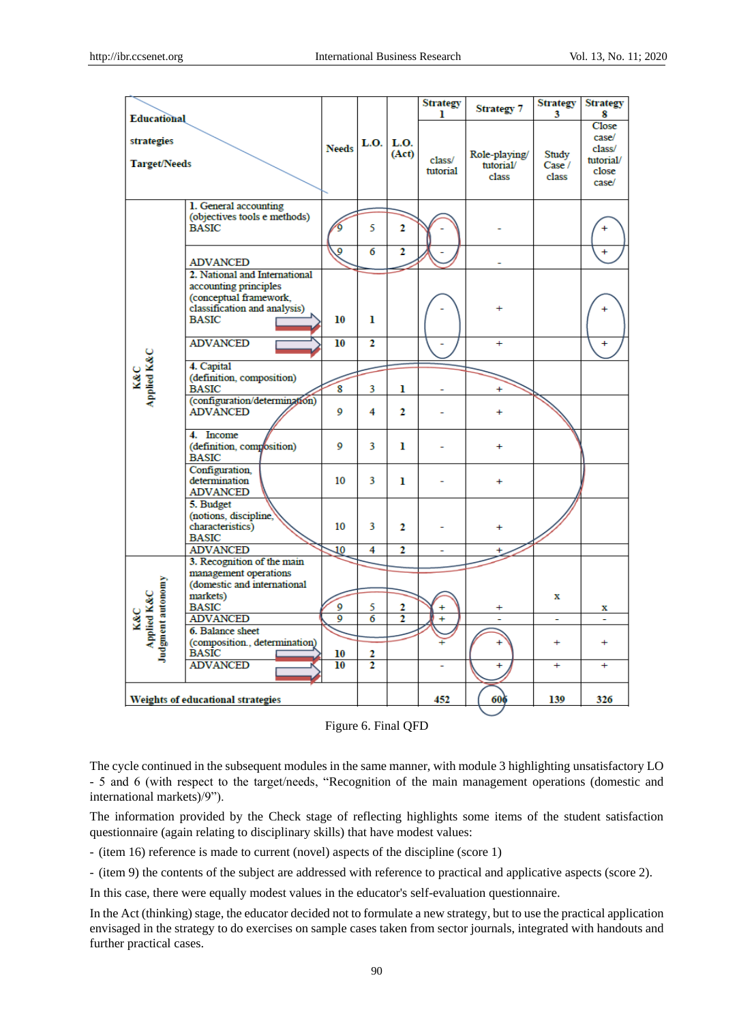|                                                         |                                                                                                                                  |              |                     |                      | <b>Strategy</b><br>ı | <b>Strategy 7</b>                   | <b>Strategy</b><br>3     | <b>Strategy</b><br>8                                           |
|---------------------------------------------------------|----------------------------------------------------------------------------------------------------------------------------------|--------------|---------------------|----------------------|----------------------|-------------------------------------|--------------------------|----------------------------------------------------------------|
| <b>Educational</b><br>strategies<br><b>Target/Needs</b> |                                                                                                                                  | <b>Needs</b> | L.O.                | <b>L.O.</b><br>(Act) | class/<br>tutorial   | Role-playing/<br>tutorial/<br>class | Study<br>Case /<br>class | <b>Close</b><br>case/<br>class/<br>tutorial/<br>close<br>case/ |
|                                                         | 1. General accounting<br>(objectives tools e methods)<br><b>BASIC</b>                                                            | ó            | 5                   | $\overline{2}$       |                      |                                     |                          |                                                                |
|                                                         | <b>ADVANCED</b>                                                                                                                  | 9            | $\overline{6}$      | $\overline{2}$       |                      |                                     |                          |                                                                |
|                                                         | 2. National and International<br>accounting principles<br>(conceptual framework,<br>classification and analysis)<br><b>BASIC</b> | 10           | ı                   |                      |                      |                                     |                          |                                                                |
|                                                         | <b>ADVANCED</b>                                                                                                                  | 10           | $\overline{2}$      |                      |                      | ÷                                   |                          | $\ddot{}$                                                      |
| K&C<br>Applied K&C                                      | 4. Capital<br>(definition, composition)<br><b>BASIC</b>                                                                          | 8            | 3                   | ı                    |                      |                                     |                          |                                                                |
|                                                         | (configuration/determination)<br><b>ADVANCED</b>                                                                                 | 0            | 4                   | $\mathbf{2}$         |                      |                                     |                          |                                                                |
|                                                         | 4. Income<br>(definition, composition)<br><b>BASIC</b>                                                                           | 0            | 3                   | ı                    |                      | Ŧ                                   |                          |                                                                |
|                                                         | Configuration,<br>determination<br><b>ADVANCED</b>                                                                               | 10           | 3                   | ı                    |                      | ÷                                   |                          |                                                                |
|                                                         | 5. Budget<br>(notions, discipline,<br>characteristics)<br><b>BASIC</b>                                                           | 10           | 3                   | $\mathbf{2}$         |                      |                                     |                          |                                                                |
|                                                         | <b>ADVANCED</b>                                                                                                                  | 10           | 4                   | $\mathbf{z}$         | ÷                    |                                     |                          |                                                                |
|                                                         | 3. Recognition of the main<br>management operations<br>(domestic and international                                               |              |                     |                      |                      |                                     |                          |                                                                |
| Judgment autonomy<br>K&C<br>Applied K&C                 | markets)<br><b>BASIC</b><br><b>ADVANCED</b>                                                                                      | 9<br>9       | 5<br>$\overline{6}$ | 2<br>2               | ÷<br>÷               |                                     | x<br>$\sim$              | x                                                              |
|                                                         | 6. Balance sheet<br>(composition., determination)<br><b>BASIC</b>                                                                | 10           | 2                   |                      |                      | Ŧ                                   | ÷                        | $\ddot{}$                                                      |
|                                                         | <b>ADVANCED</b>                                                                                                                  | 10           | $\overline{2}$      |                      |                      | $\ddot{}$                           | $\ddot{}$                | $+$                                                            |
|                                                         | Weights of educational strategies                                                                                                |              |                     |                      | 452                  | 606                                 | 139                      | 326                                                            |

Figure 6. Final QFD

The cycle continued in the subsequent modules in the same manner, with module 3 highlighting unsatisfactory LO - 5 and 6 (with respect to the target/needs, "Recognition of the main management operations (domestic and international markets)/9").

The information provided by the Check stage of reflecting highlights some items of the student satisfaction questionnaire (again relating to disciplinary skills) that have modest values:

- (item 16) reference is made to current (novel) aspects of the discipline (score 1)

- (item 9) the contents of the subject are addressed with reference to practical and applicative aspects (score 2).

In this case, there were equally modest values in the educator's self-evaluation questionnaire.

In the Act (thinking) stage, the educator decided not to formulate a new strategy, but to use the practical application envisaged in the strategy to do exercises on sample cases taken from sector journals, integrated with handouts and further practical cases.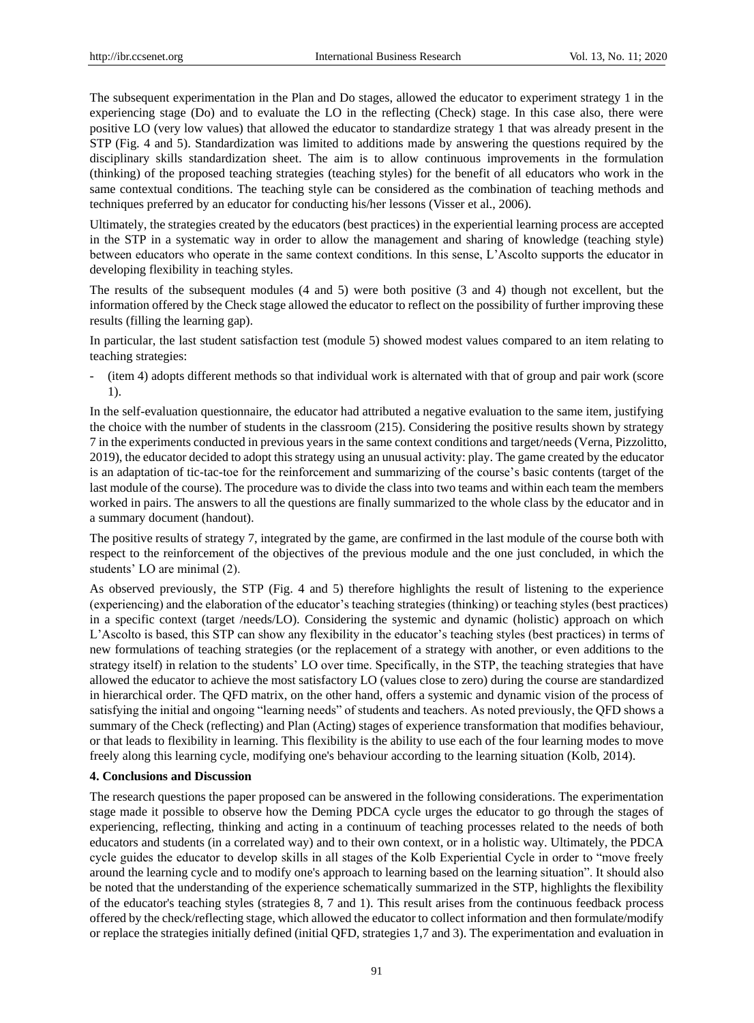The subsequent experimentation in the Plan and Do stages, allowed the educator to experiment strategy 1 in the experiencing stage (Do) and to evaluate the LO in the reflecting (Check) stage. In this case also, there were positive LO (very low values) that allowed the educator to standardize strategy 1 that was already present in the STP (Fig. 4 and 5). Standardization was limited to additions made by answering the questions required by the disciplinary skills standardization sheet. The aim is to allow continuous improvements in the formulation (thinking) of the proposed teaching strategies (teaching styles) for the benefit of all educators who work in the same contextual conditions. The teaching style can be considered as the combination of teaching methods and techniques preferred by an educator for conducting his/her lessons (Visser et al., 2006).

Ultimately, the strategies created by the educators (best practices) in the experiential learning process are accepted in the STP in a systematic way in order to allow the management and sharing of knowledge (teaching style) between educators who operate in the same context conditions. In this sense, L'Ascolto supports the educator in developing flexibility in teaching styles.

The results of the subsequent modules (4 and 5) were both positive (3 and 4) though not excellent, but the information offered by the Check stage allowed the educator to reflect on the possibility of further improving these results (filling the learning gap).

In particular, the last student satisfaction test (module 5) showed modest values compared to an item relating to teaching strategies:

- (item 4) adopts different methods so that individual work is alternated with that of group and pair work (score 1).

In the self-evaluation questionnaire, the educator had attributed a negative evaluation to the same item, justifying the choice with the number of students in the classroom (215). Considering the positive results shown by strategy 7 in the experiments conducted in previous years in the same context conditions and target/needs (Verna, Pizzolitto, 2019), the educator decided to adopt this strategy using an unusual activity: play. The game created by the educator is an adaptation of tic-tac-toe for the reinforcement and summarizing of the course's basic contents (target of the last module of the course). The procedure was to divide the class into two teams and within each team the members worked in pairs. The answers to all the questions are finally summarized to the whole class by the educator and in a summary document (handout).

The positive results of strategy 7, integrated by the game, are confirmed in the last module of the course both with respect to the reinforcement of the objectives of the previous module and the one just concluded, in which the students' LO are minimal (2).

As observed previously, the STP (Fig. 4 and 5) therefore highlights the result of listening to the experience (experiencing) and the elaboration of the educator's teaching strategies (thinking) or teaching styles (best practices) in a specific context (target /needs/LO). Considering the systemic and dynamic (holistic) approach on which L'Ascolto is based, this STP can show any flexibility in the educator's teaching styles (best practices) in terms of new formulations of teaching strategies (or the replacement of a strategy with another, or even additions to the strategy itself) in relation to the students' LO over time. Specifically, in the STP, the teaching strategies that have allowed the educator to achieve the most satisfactory LO (values close to zero) during the course are standardized in hierarchical order. The QFD matrix, on the other hand, offers a systemic and dynamic vision of the process of satisfying the initial and ongoing "learning needs" of students and teachers. As noted previously, the QFD shows a summary of the Check (reflecting) and Plan (Acting) stages of experience transformation that modifies behaviour, or that leads to flexibility in learning. This flexibility is the ability to use each of the four learning modes to move freely along this learning cycle, modifying one's behaviour according to the learning situation (Kolb, 2014).

## **4. Conclusions and Discussion**

The research questions the paper proposed can be answered in the following considerations. The experimentation stage made it possible to observe how the Deming PDCA cycle urges the educator to go through the stages of experiencing, reflecting, thinking and acting in a continuum of teaching processes related to the needs of both educators and students (in a correlated way) and to their own context, or in a holistic way. Ultimately, the PDCA cycle guides the educator to develop skills in all stages of the Kolb Experiential Cycle in order to "move freely around the learning cycle and to modify one's approach to learning based on the learning situation". It should also be noted that the understanding of the experience schematically summarized in the STP, highlights the flexibility of the educator's teaching styles (strategies 8, 7 and 1). This result arises from the continuous feedback process offered by the check/reflecting stage, which allowed the educator to collect information and then formulate/modify or replace the strategies initially defined (initial QFD, strategies 1,7 and 3). The experimentation and evaluation in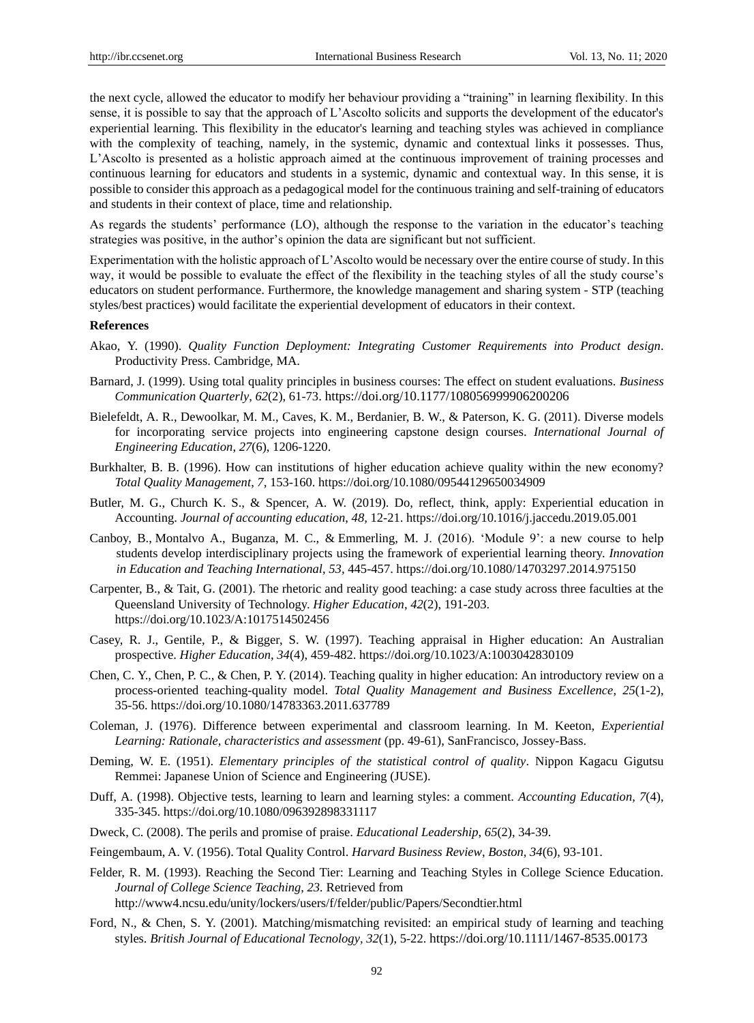the next cycle, allowed the educator to modify her behaviour providing a "training" in learning flexibility. In this sense, it is possible to say that the approach of L'Ascolto solicits and supports the development of the educator's experiential learning. This flexibility in the educator's learning and teaching styles was achieved in compliance with the complexity of teaching, namely, in the systemic, dynamic and contextual links it possesses. Thus, L'Ascolto is presented as a holistic approach aimed at the continuous improvement of training processes and continuous learning for educators and students in a systemic, dynamic and contextual way. In this sense, it is possible to consider this approach as a pedagogical model for the continuous training and self-training of educators and students in their context of place, time and relationship.

As regards the students' performance (LO), although the response to the variation in the educator's teaching strategies was positive, in the author's opinion the data are significant but not sufficient.

Experimentation with the holistic approach of L'Ascolto would be necessary over the entire course of study. In this way, it would be possible to evaluate the effect of the flexibility in the teaching styles of all the study course's educators on student performance. Furthermore, the knowledge management and sharing system - STP (teaching styles/best practices) would facilitate the experiential development of educators in their context.

#### **References**

- Akao, Y. (1990). *Quality Function Deployment: Integrating Customer Requirements into Product design*. Productivity Press. Cambridge, MA.
- Barnard, J. (1999). Using total quality principles in business courses: The effect on student evaluations. *Business Communication Quarterly*, *62*(2), 61-73. https://doi.org/10.1177/108056999906200206
- Bielefeldt, A. R., Dewoolkar, M. M., Caves, K. M., Berdanier, B. W., & Paterson, K. G. (2011). Diverse models for incorporating service projects into engineering capstone design courses. *International Journal of Engineering Education*, *27*(6), 1206-1220.
- Burkhalter, B. B. (1996). How can institutions of higher education achieve quality within the new economy? *Total Quality Management*, *7,* 153-160[. https://doi.org/10.1080/09544129650034909](https://doi.org/10.1080/09544129650034909)
- Butler, M. G., Church K. S., & Spencer, A. W. (2019). Do, reflect, think, apply: Experiential education in Accounting. *Journal of accounting education*, *48,* 12-21.<https://doi.org/10.1016/j.jaccedu.2019.05.001>
- [Canboy,](https://www.tandfonline.com/author/Canboy%2C+Basak) B., Montalvo A., [Buganza, M.](https://www.tandfonline.com/author/Buganza%2C+M+Carmen) C., & [Emmerling,](https://www.tandfonline.com/author/Buganza%2C+M+Carmen) M. J. (2016). 'Module 9': a new course to help students develop interdisciplinary projects using the framework of experiential learning theory. *Innovation in Education and Teaching International*, *53,* 445-457.<https://doi.org/10.1080/14703297.2014.975150>
- Carpenter, B., & Tait, G. (2001). The rhetoric and reality good teaching: a case study across three faculties at the Queensland University of Technology. *Higher Education*, *42*(2), 191-203. <https://doi.org/10.1023/A:1017514502456>
- Casey, R. J., Gentile, P., & Bigger, S. W. (1997). Teaching appraisal in Higher education: An Australian prospective. *Higher Education*, *34*(4), 459-482.<https://doi.org/10.1023/A:1003042830109>
- Chen, C. Y., Chen, P. C., & Chen, P. Y. (2014). Teaching quality in higher education: An introductory review on a process-oriented teaching-quality model. *Total Quality Management and Business Excellence*, *25*(1-2), 35-56.<https://doi.org/10.1080/14783363.2011.637789>
- Coleman, J. (1976). Difference between experimental and classroom learning. In M. Keeton, *Experiential Learning: Rationale, characteristics and assessment* (pp. 49-61), SanFrancisco, Jossey-Bass.
- Deming, W. E. (1951). *Elementary principles of the statistical control of quality*. Nippon Kagacu Gigutsu Remmei: Japanese Union of Science and Engineering (JUSE).
- Duff, A. (1998). Objective tests, learning to learn and learning styles: a comment. *Accounting Education, 7*(4), 335-345. https://doi.org/10.1080/096392898331117
- Dweck, C. (2008). The perils and promise of praise. *Educational Leadership*, *65*(2), 34-39.
- Feingembaum, A. V. (1956). Total Quality Control. *Harvard Business Review*, *Boston, 34*(6), 93-101.
- Felder, R. M. (1993). Reaching the Second Tier: Learning and Teaching Styles in College Science Education*. Journal of College Science Teaching*, *23.* Retrieved from <http://www4.ncsu.edu/unity/lockers/users/f/felder/public/Papers/Secondtier.html>
- Ford, N., & Chen, S. Y. (2001). Matching/mismatching revisited: an empirical study of learning and teaching styles. *British Journal of Educational Tecnology*, *32*(1), 5-22. https://doi.org/10.1111/1467-8535.00173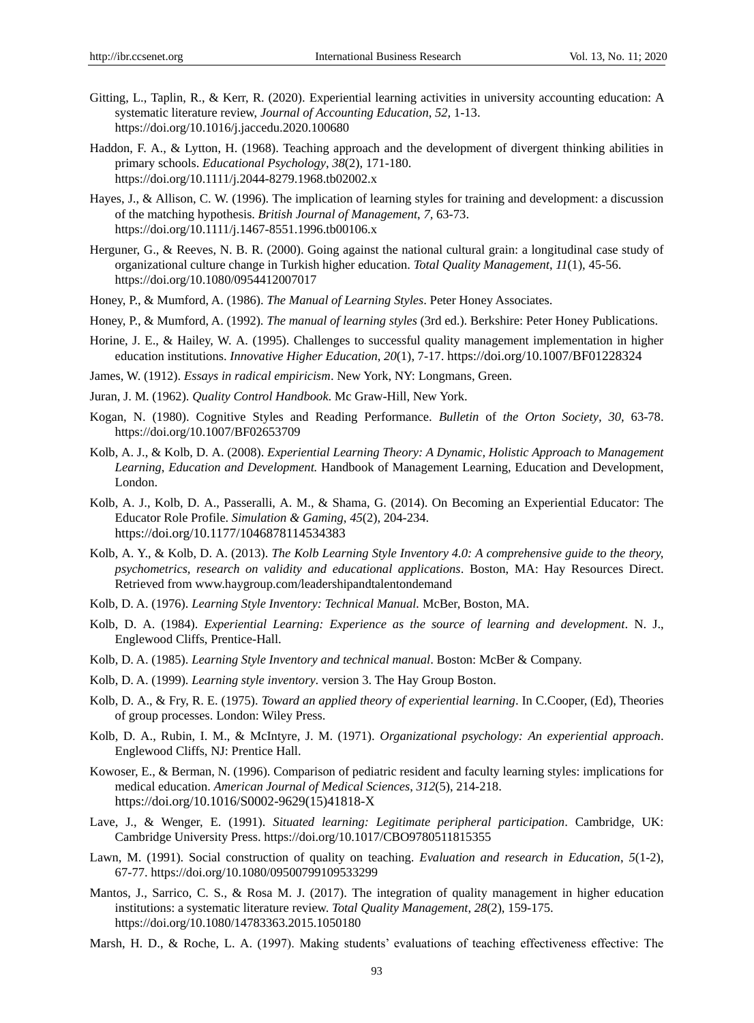- Gitting, L., Taplin, R., & Kerr, R. (2020). Experiential learning activities in university accounting education: A systematic literature review, *Journal of Accounting Education*, *52,* 1-13. <https://doi.org/10.1016/j.jaccedu.2020.100680>
- Haddon, F. A., & Lytton, H. (1968). Teaching approach and the development of divergent thinking abilities in primary schools. *Educational Psychology*, *38*(2), 171-180. <https://doi.org/10.1111/j.2044-8279.1968.tb02002.x>
- Hayes, J., & Allison, C. W. (1996). The implication of learning styles for training and development: a discussion of the matching hypothesis. *British Journal of Management*, *7,* 63-73. <https://doi.org/10.1111/j.1467-8551.1996.tb00106.x>
- Herguner, G., & Reeves, N. B. R. (2000). Going against the national cultural grain: a longitudinal case study of organizational culture change in Turkish higher education. *Total Quality Management*, *11*(1), 45-56. <https://doi.org/10.1080/0954412007017>
- Honey, P., & Mumford, A. (1986). *The Manual of Learning Styles*. Peter Honey Associates.
- Honey, P., & Mumford, A. (1992). *The manual of learning styles* (3rd ed.). Berkshire: Peter Honey Publications.
- Horine, J. E., & Hailey, W. A. (1995). Challenges to successful quality management implementation in higher education institutions. *Innovative Higher Education*, *20*(1), 7-17. https://doi.org/10.1007/BF01228324
- James, W. (1912). *Essays in radical empiricism*. New York, NY: Longmans, Green.
- Juran, J. M. (1962). *Quality Control Handbook*. Mc Graw-Hill, New York.
- Kogan, N. (1980). Cognitive Styles and Reading Performance. *Bulletin* of *the Orton Society, 30,* 63-78. <https://doi.org/10.1007/BF02653709>
- Kolb, A. J., & Kolb, D. A. (2008). *Experiential Learning Theory: A Dynamic, Holistic Approach to Management Learning*, *Education and Development.* Handbook of Management Learning, Education and Development, London.
- Kolb, A. J., Kolb, D. A., Passeralli, A. M., & Shama, G. (2014). On Becoming an Experiential Educator: The Educator Role Profile. *Simulation & Gaming*, *45*(2), 204-234. https://doi.org/10.1177/1046878114534383
- Kolb, A. Y., & Kolb, D. A. (2013). *The Kolb Learning Style Inventory 4.0: A comprehensive guide to the theory, psychometrics, research on validity and educational applications*. Boston, MA: Hay Resources Direct. Retrieved from [www.haygroup.com/leadershipandtalentondemand](http://www.haygroup.com/leadershipandtalentondemand)
- Kolb, D. A. (1976). *Learning Style Inventory: Technical Manual.* McBer, Boston, MA.
- Kolb, D. A. (1984). *Experiential Learning: Experience as the source of learning and development*. N. J., Englewood Cliffs, Prentice-Hall.
- Kolb, D. A. (1985). *Learning Style Inventory and technical manual*. Boston: McBer & Company.
- Kolb, D. A. (1999). *Learning style inventory*. version 3. The Hay Group Boston.
- Kolb, D. A., & Fry, R. E. (1975). *Toward an applied theory of experiential learning*. In C.Cooper, (Ed), Theories of group processes. London: Wiley Press.
- Kolb, D. A., Rubin, I. M., & McIntyre, J. M. (1971). *Organizational psychology: An experiential approach*. Englewood Cliffs, NJ: Prentice Hall.
- Kowoser, E., & Berman, N. (1996). Comparison of pediatric resident and faculty learning styles: implications for medical education. *American Journal of Medical Sciences*, *312*(5), 214-218. https://doi.org/10.1016/S0002-9629(15)41818-X
- Lave, J., & Wenger, E. (1991). *Situated learning: Legitimate peripheral participation*. Cambridge, UK: Cambridge University Press. https://doi.org/10.1017/CBO9780511815355
- Lawn, M. (1991). Social construction of quality on teaching. *Evaluation and research in Education*, *5*(1-2), 67-77.<https://doi.org/10.1080/09500799109533299>
- Mantos, J., Sarrico, C. S., & Rosa M. J. (2017). The integration of quality management in higher education institutions: a systematic literature review. *Total Quality Management*, *28*(2), 159-175. <https://doi.org/10.1080/14783363.2015.1050180>
- Marsh, H. D., & Roche, L. A. (1997). Making students' evaluations of teaching effectiveness effective: The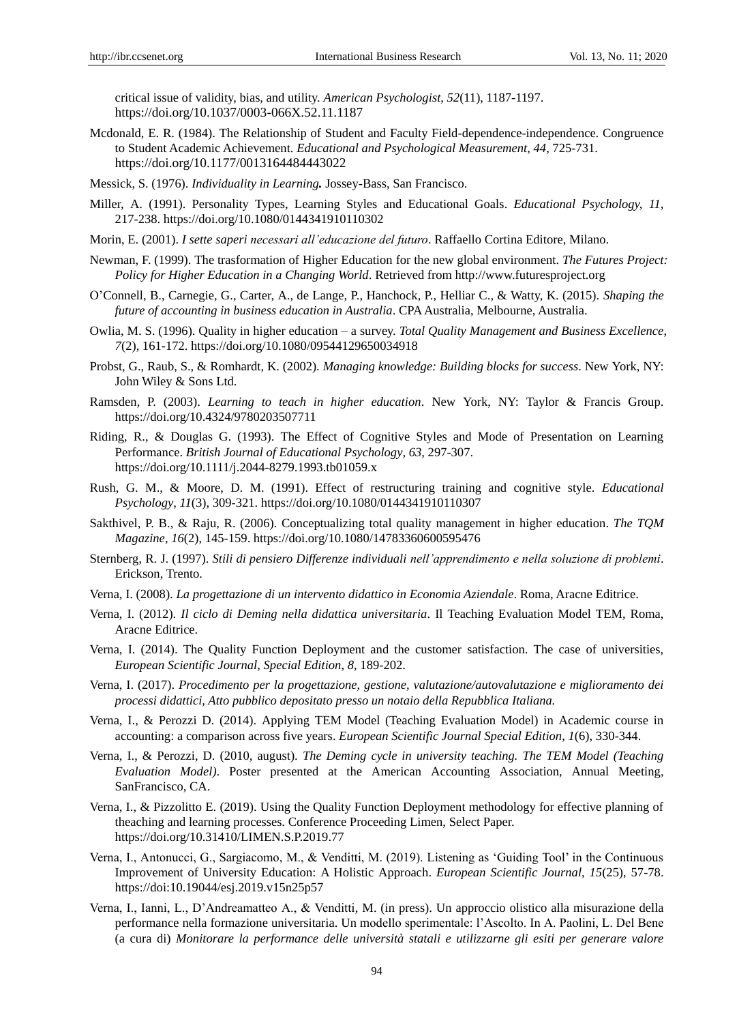critical issue of validity, bias, and utility. *American Psychologist*, *52*(11), 1187-1197. https://doi.org/10.1037/0003-066X.52.11.1187

- Mcdonald, E. R. (1984). The Relationship of Student and Faculty Field-dependence-independence. Congruence to Student Academic Achievement. *Educational and Psychological Measurement, 44,* 725-731. https://doi.org/10.1177/0013164484443022
- Messick, S. (1976). *Individuality in Learning.* Jossey-Bass, San Francisco.
- Miller, A. (1991). Personality Types, Learning Styles and Educational Goals. *Educational Psychology, 11,* 217-238.<https://doi.org/10.1080/0144341910110302>
- Morin, E. (2001). *I sette saperi necessari all'educazione del futuro*. Raffaello Cortina Editore, Milano.
- Newman, F. (1999). The trasformation of Higher Education for the new global environment. *The Futures Project: Policy for Higher Education in a Changing World*. Retrieved from [http://www.futuresproject.org](http://www.futuresproject.org/)
- O'Connell, B., Carnegie, G., Carter, A., de Lange, P., Hanchock, P., Helliar C., & Watty, K. (2015). *Shaping the future of accounting in business education in Australia*. CPA Australia, Melbourne, Australia.
- Owlia, M. S. (1996). Quality in higher education a survey. *Total Quality Management and Business Excellence*, *7*(2), 161-172.<https://doi.org/10.1080/09544129650034918>
- Probst, G., Raub, S., & Romhardt, K. (2002). *Managing knowledge: Building blocks for success*. New York, NY: John Wiley & Sons Ltd.
- Ramsden, P. (2003). *Learning to teach in higher education*. New York, NY: Taylor & Francis Group. https://doi.org/10.4324/9780203507711
- Riding, R., & Douglas G. (1993). The Effect of Cognitive Styles and Mode of Presentation on Learning Performance. *British Journal of Educational Psychology, 63,* 297-307. <https://doi.org/10.1111/j.2044-8279.1993.tb01059.x>
- Rush, G. M., & Moore, D. M. (1991). Effect of restructuring training and cognitive style. *Educational Psychology*, *11*(3), 309-321. https://doi.org/10.1080/0144341910110307
- Sakthivel, P. B., & Raju, R. (2006). Conceptualizing total quality management in higher education. *The TQM Magazine*, *16*(2), 145-159.<https://doi.org/10.1080/14783360600595476>
- Sternberg, R. J. (1997). *Stili di pensiero Differenze individuali nell'apprendimento e nella soluzione di problemi*. Erickson, Trento.
- Verna, I. (2008). *La progettazione di un intervento didattico in Economia Aziendale*. Roma, Aracne Editrice.
- Verna, I. (2012). *Il ciclo di Deming nella didattica universitaria*. Il Teaching Evaluation Model TEM, Roma, Aracne Editrice.
- Verna, I. (2014). The Quality Function Deployment and the customer satisfaction. The case of universities, *European Scientific Journal, Special Edition*, *8*, 189-202.
- Verna, I. (2017). *Procedimento per la progettazione, gestione, valutazione/autovalutazione e miglioramento dei processi didattici, Atto pubblico depositato presso un notaio della Repubblica Italiana.*
- Verna, I., & Perozzi D. (2014). Applying TEM Model (Teaching Evaluation Model) in Academic course in accounting: a comparison across five years. *European Scientific Journal Special Edition*, *1*(6), 330-344.
- Verna, I., & Perozzi, D. (2010, august). *The Deming cycle in university teaching. The TEM Model (Teaching Evaluation Model)*. Poster presented at the American Accounting Association, Annual Meeting, SanFrancisco, CA.
- Verna, I., & Pizzolitto E. (2019). Using the Quality Function Deployment methodology for effective planning of theaching and learning processes. Conference Proceeding Limen, Select Paper. https://doi.org/10.31410/LIMEN.S.P.2019.77
- Verna, I., Antonucci, G., Sargiacomo, M., & Venditti, M. (2019). Listening as ‗Guiding Tool' in the Continuous Improvement of University Education: A Holistic Approach. *European Scientific Journal*, *15*(25), 57-78. <https://doi:10.19044/esj.2019.v15n25p57>
- Verna, I., Ianni, L., D'Andreamatteo A., & Venditti, M. (in press). Un approccio olistico alla misurazione della performance nella formazione universitaria. Un modello sperimentale: l'Ascolto. In A. Paolini, L. Del Bene (a cura di) *Monitorare la performance delle università statali e utilizzarne gli esiti per generare valore*